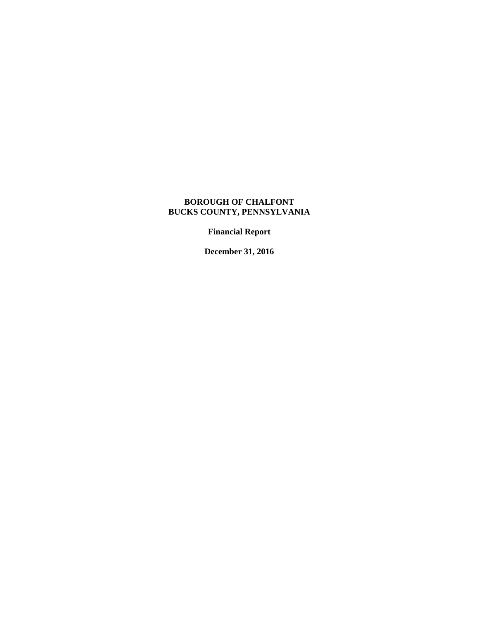#### **BOROUGH OF CHALFONT BUCKS COUNTY, PENNSYLVANIA**

**Financial Report** 

**December 31, 2016**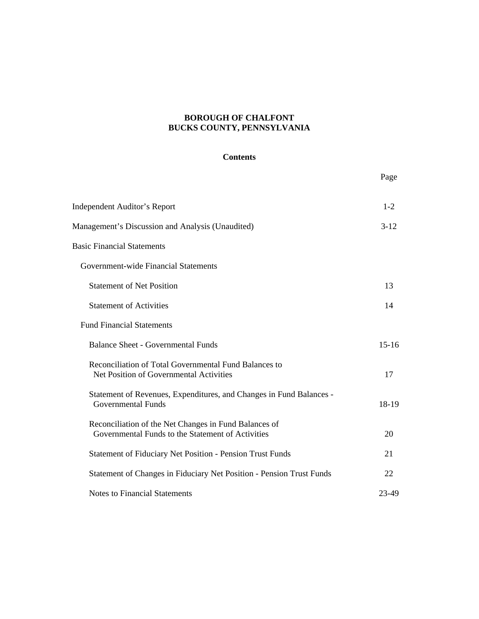### **BOROUGH OF CHALFONT BUCKS COUNTY, PENNSYLVANIA**

# **Contents**

|                                                                                                            | Page    |
|------------------------------------------------------------------------------------------------------------|---------|
| <b>Independent Auditor's Report</b>                                                                        | $1 - 2$ |
| Management's Discussion and Analysis (Unaudited)                                                           | $3-12$  |
| <b>Basic Financial Statements</b>                                                                          |         |
| Government-wide Financial Statements                                                                       |         |
| <b>Statement of Net Position</b>                                                                           | 13      |
| <b>Statement of Activities</b>                                                                             | 14      |
| <b>Fund Financial Statements</b>                                                                           |         |
| <b>Balance Sheet - Governmental Funds</b>                                                                  | $15-16$ |
| Reconciliation of Total Governmental Fund Balances to<br>Net Position of Governmental Activities           | 17      |
| Statement of Revenues, Expenditures, and Changes in Fund Balances -<br><b>Governmental Funds</b>           | 18-19   |
| Reconciliation of the Net Changes in Fund Balances of<br>Governmental Funds to the Statement of Activities | 20      |
| <b>Statement of Fiduciary Net Position - Pension Trust Funds</b>                                           | 21      |
| Statement of Changes in Fiduciary Net Position - Pension Trust Funds                                       | 22      |
| <b>Notes to Financial Statements</b>                                                                       | 23-49   |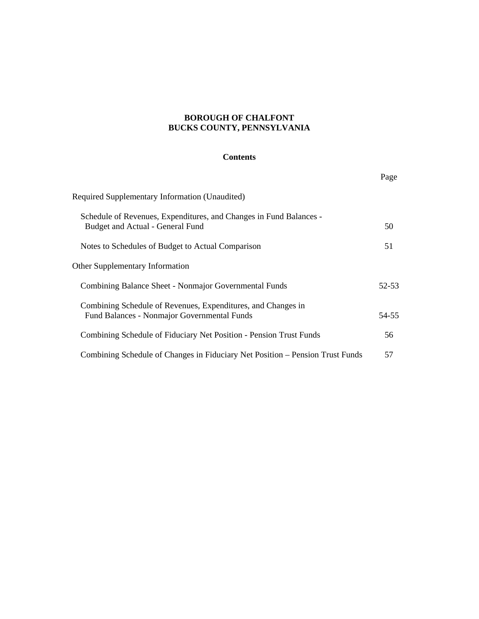#### **BOROUGH OF CHALFONT BUCKS COUNTY, PENNSYLVANIA**

### **Contents**

|                                                                                                                    | Page  |
|--------------------------------------------------------------------------------------------------------------------|-------|
| Required Supplementary Information (Unaudited)                                                                     |       |
| Schedule of Revenues, Expenditures, and Changes in Fund Balances -<br>Budget and Actual - General Fund             | 50    |
| Notes to Schedules of Budget to Actual Comparison                                                                  | 51    |
| <b>Other Supplementary Information</b>                                                                             |       |
| Combining Balance Sheet - Nonmajor Governmental Funds                                                              | 52-53 |
| Combining Schedule of Revenues, Expenditures, and Changes in<br><b>Fund Balances - Nonmajor Governmental Funds</b> | 54-55 |
| Combining Schedule of Fiduciary Net Position - Pension Trust Funds                                                 | 56    |
| Combining Schedule of Changes in Fiduciary Net Position – Pension Trust Funds                                      | 57    |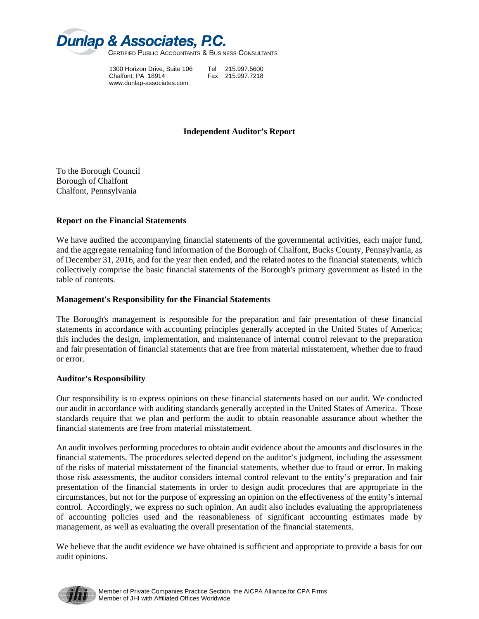

1300 Horizon Drive, Suite 106 Tel 215.997.5600<br>Chalfont, PA 18914 Fax 215.997.7218 Chalfont, PA 18914 www.dunlap-associates.com

# **Independent Auditor's Report**

To the Borough Council Borough of Chalfont Chalfont, Pennsylvania

# **Report on the Financial Statements**

We have audited the accompanying financial statements of the governmental activities, each major fund, and the aggregate remaining fund information of the Borough of Chalfont, Bucks County, Pennsylvania, as of December 31, 2016, and for the year then ended, and the related notes to the financial statements, which collectively comprise the basic financial statements of the Borough's primary government as listed in the table of contents.

### **Management's Responsibility for the Financial Statements**

The Borough's management is responsible for the preparation and fair presentation of these financial statements in accordance with accounting principles generally accepted in the United States of America; this includes the design, implementation, and maintenance of internal control relevant to the preparation and fair presentation of financial statements that are free from material misstatement, whether due to fraud or error.

#### **Auditor's Responsibility**

Our responsibility is to express opinions on these financial statements based on our audit. We conducted our audit in accordance with auditing standards generally accepted in the United States of America. Those standards require that we plan and perform the audit to obtain reasonable assurance about whether the financial statements are free from material misstatement.

An audit involves performing procedures to obtain audit evidence about the amounts and disclosures in the financial statements. The procedures selected depend on the auditor's judgment, including the assessment of the risks of material misstatement of the financial statements, whether due to fraud or error. In making those risk assessments, the auditor considers internal control relevant to the entity's preparation and fair presentation of the financial statements in order to design audit procedures that are appropriate in the circumstances, but not for the purpose of expressing an opinion on the effectiveness of the entity's internal control. Accordingly, we express no such opinion. An audit also includes evaluating the appropriateness of accounting policies used and the reasonableness of significant accounting estimates made by management, as well as evaluating the overall presentation of the financial statements.

We believe that the audit evidence we have obtained is sufficient and appropriate to provide a basis for our audit opinions.

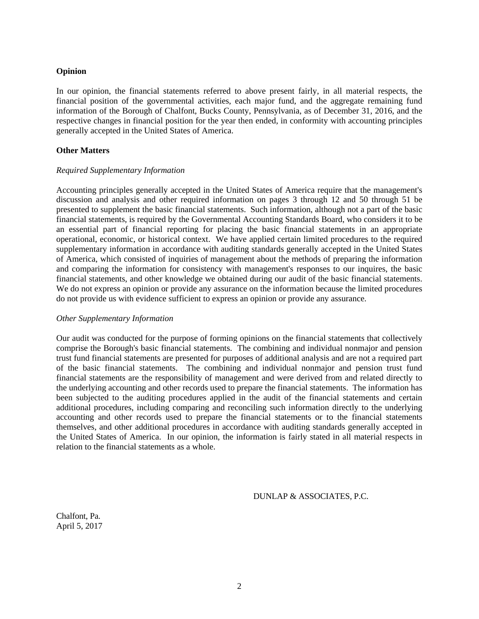### **Opinion**

In our opinion, the financial statements referred to above present fairly, in all material respects, the financial position of the governmental activities, each major fund, and the aggregate remaining fund information of the Borough of Chalfont, Bucks County, Pennsylvania, as of December 31, 2016, and the respective changes in financial position for the year then ended, in conformity with accounting principles generally accepted in the United States of America.

# **Other Matters**

#### *Required Supplementary Information*

Accounting principles generally accepted in the United States of America require that the management's discussion and analysis and other required information on pages 3 through 12 and 50 through 51 be presented to supplement the basic financial statements. Such information, although not a part of the basic financial statements, is required by the Governmental Accounting Standards Board, who considers it to be an essential part of financial reporting for placing the basic financial statements in an appropriate operational, economic, or historical context. We have applied certain limited procedures to the required supplementary information in accordance with auditing standards generally accepted in the United States of America, which consisted of inquiries of management about the methods of preparing the information and comparing the information for consistency with management's responses to our inquires, the basic financial statements, and other knowledge we obtained during our audit of the basic financial statements. We do not express an opinion or provide any assurance on the information because the limited procedures do not provide us with evidence sufficient to express an opinion or provide any assurance.

#### *Other Supplementary Information*

Our audit was conducted for the purpose of forming opinions on the financial statements that collectively comprise the Borough's basic financial statements. The combining and individual nonmajor and pension trust fund financial statements are presented for purposes of additional analysis and are not a required part of the basic financial statements. The combining and individual nonmajor and pension trust fund financial statements are the responsibility of management and were derived from and related directly to the underlying accounting and other records used to prepare the financial statements. The information has been subjected to the auditing procedures applied in the audit of the financial statements and certain additional procedures, including comparing and reconciling such information directly to the underlying accounting and other records used to prepare the financial statements or to the financial statements themselves, and other additional procedures in accordance with auditing standards generally accepted in the United States of America. In our opinion, the information is fairly stated in all material respects in relation to the financial statements as a whole.

DUNLAP & ASSOCIATES, P.C.

Chalfont, Pa. April 5, 2017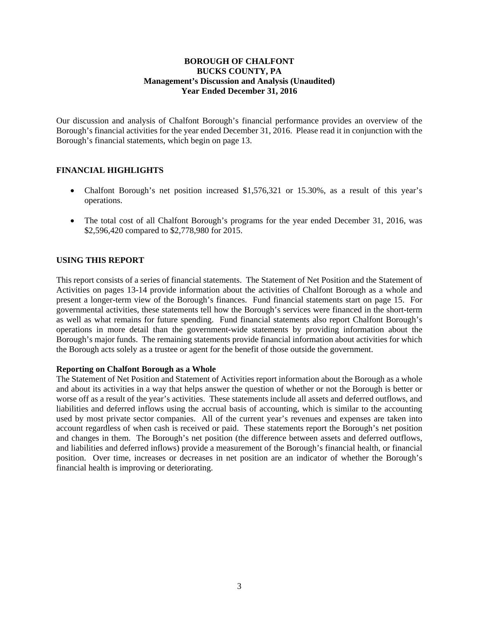Our discussion and analysis of Chalfont Borough's financial performance provides an overview of the Borough's financial activities for the year ended December 31, 2016. Please read it in conjunction with the Borough's financial statements, which begin on page 13.

# **FINANCIAL HIGHLIGHTS**

- Chalfont Borough's net position increased \$1,576,321 or 15.30%, as a result of this year's operations.
- The total cost of all Chalfont Borough's programs for the year ended December 31, 2016, was \$2,596,420 compared to \$2,778,980 for 2015.

# **USING THIS REPORT**

This report consists of a series of financial statements. The Statement of Net Position and the Statement of Activities on pages 13-14 provide information about the activities of Chalfont Borough as a whole and present a longer-term view of the Borough's finances. Fund financial statements start on page 15. For governmental activities, these statements tell how the Borough's services were financed in the short-term as well as what remains for future spending. Fund financial statements also report Chalfont Borough's operations in more detail than the government-wide statements by providing information about the Borough's major funds. The remaining statements provide financial information about activities for which the Borough acts solely as a trustee or agent for the benefit of those outside the government.

#### **Reporting on Chalfont Borough as a Whole**

The Statement of Net Position and Statement of Activities report information about the Borough as a whole and about its activities in a way that helps answer the question of whether or not the Borough is better or worse off as a result of the year's activities. These statements include all assets and deferred outflows, and liabilities and deferred inflows using the accrual basis of accounting, which is similar to the accounting used by most private sector companies. All of the current year's revenues and expenses are taken into account regardless of when cash is received or paid. These statements report the Borough's net position and changes in them. The Borough's net position (the difference between assets and deferred outflows, and liabilities and deferred inflows) provide a measurement of the Borough's financial health, or financial position. Over time, increases or decreases in net position are an indicator of whether the Borough's financial health is improving or deteriorating.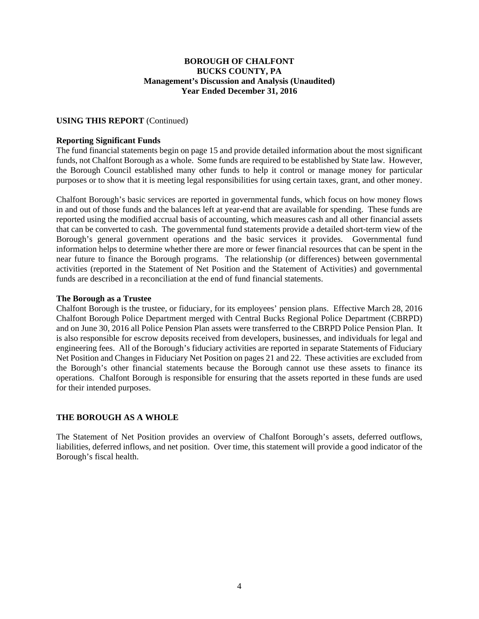### **USING THIS REPORT** (Continued)

#### **Reporting Significant Funds**

The fund financial statements begin on page 15 and provide detailed information about the most significant funds, not Chalfont Borough as a whole. Some funds are required to be established by State law. However, the Borough Council established many other funds to help it control or manage money for particular purposes or to show that it is meeting legal responsibilities for using certain taxes, grant, and other money.

Chalfont Borough's basic services are reported in governmental funds, which focus on how money flows in and out of those funds and the balances left at year-end that are available for spending. These funds are reported using the modified accrual basis of accounting, which measures cash and all other financial assets that can be converted to cash. The governmental fund statements provide a detailed short-term view of the Borough's general government operations and the basic services it provides. Governmental fund information helps to determine whether there are more or fewer financial resources that can be spent in the near future to finance the Borough programs. The relationship (or differences) between governmental activities (reported in the Statement of Net Position and the Statement of Activities) and governmental funds are described in a reconciliation at the end of fund financial statements.

#### **The Borough as a Trustee**

Chalfont Borough is the trustee, or fiduciary, for its employees' pension plans. Effective March 28, 2016 Chalfont Borough Police Department merged with Central Bucks Regional Police Department (CBRPD) and on June 30, 2016 all Police Pension Plan assets were transferred to the CBRPD Police Pension Plan. It is also responsible for escrow deposits received from developers, businesses, and individuals for legal and engineering fees. All of the Borough's fiduciary activities are reported in separate Statements of Fiduciary Net Position and Changes in Fiduciary Net Position on pages 21 and 22. These activities are excluded from the Borough's other financial statements because the Borough cannot use these assets to finance its operations. Chalfont Borough is responsible for ensuring that the assets reported in these funds are used for their intended purposes.

#### **THE BOROUGH AS A WHOLE**

The Statement of Net Position provides an overview of Chalfont Borough's assets, deferred outflows, liabilities, deferred inflows, and net position. Over time, this statement will provide a good indicator of the Borough's fiscal health.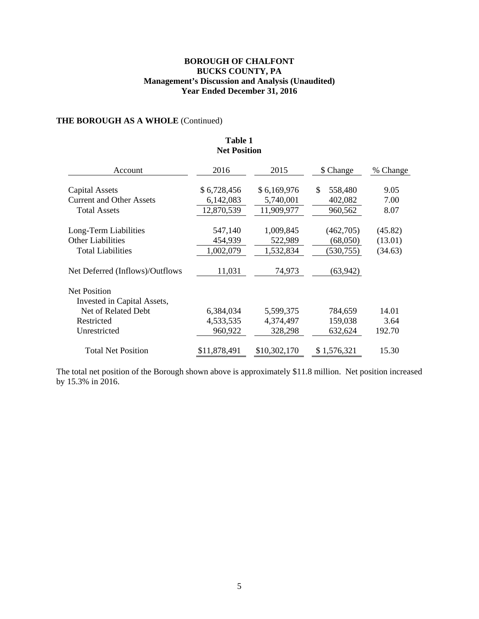# **THE BOROUGH AS A WHOLE** (Continued)

|                                 | Net Position |              |               |          |
|---------------------------------|--------------|--------------|---------------|----------|
| Account                         | 2016         | 2015         | \$ Change     | % Change |
| <b>Capital Assets</b>           | \$6,728,456  | \$6,169,976  | \$<br>558,480 | 9.05     |
| <b>Current and Other Assets</b> | 6,142,083    | 5,740,001    | 402,082       | 7.00     |
| <b>Total Assets</b>             | 12,870,539   | 11,909,977   | 960,562       | 8.07     |
|                                 |              |              |               |          |
| Long-Term Liabilities           | 547,140      | 1,009,845    | (462,705)     | (45.82)  |
| <b>Other Liabilities</b>        | 454,939      | 522,989      | (68,050)      | (13.01)  |
| <b>Total Liabilities</b>        | 1,002,079    | 1,532,834    | (530, 755)    | (34.63)  |
| Net Deferred (Inflows)/Outflows | 11,031       | 74,973       | (63, 942)     |          |
| <b>Net Position</b>             |              |              |               |          |
| Invested in Capital Assets,     |              |              |               |          |
| Net of Related Debt             | 6,384,034    | 5,599,375    | 784,659       | 14.01    |
| Restricted                      | 4,533,535    | 4,374,497    | 159,038       | 3.64     |
| Unrestricted                    | 960,922      | 328,298      | 632,624       | 192.70   |
| <b>Total Net Position</b>       | \$11,878,491 | \$10,302,170 | \$1,576,321   | 15.30    |

**Table 1 Net Position** 

The total net position of the Borough shown above is approximately \$11.8 million. Net position increased by 15.3% in 2016.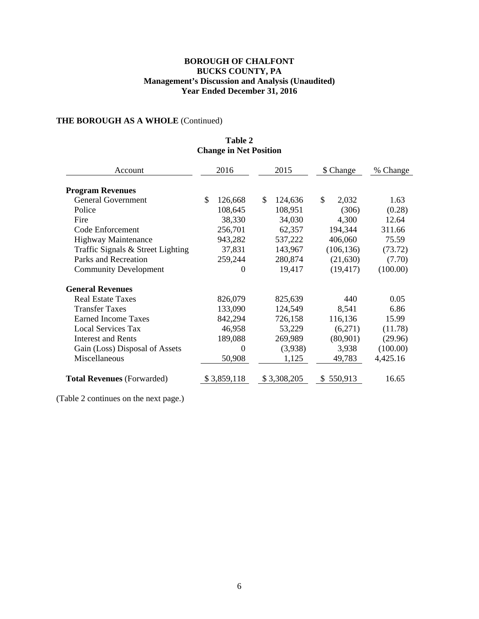# **THE BOROUGH AS A WHOLE** (Continued)

| <b>Change in Net Position</b>     |      |                  |      |             |           |            |          |  |
|-----------------------------------|------|------------------|------|-------------|-----------|------------|----------|--|
| Account                           | 2016 |                  | 2015 |             | \$ Change |            | % Change |  |
| <b>Program Revenues</b>           |      |                  |      |             |           |            |          |  |
| <b>General Government</b>         | \$   | 126,668          | \$   | 124,636     | \$        | 2,032      | 1.63     |  |
| Police                            |      | 108,645          |      | 108,951     |           | (306)      | (0.28)   |  |
| Fire                              |      | 38,330           |      | 34,030      |           | 4,300      | 12.64    |  |
| Code Enforcement                  |      | 256,701          |      | 62,357      |           | 194,344    | 311.66   |  |
| <b>Highway Maintenance</b>        |      | 943,282          |      | 537,222     |           | 406,060    | 75.59    |  |
| Traffic Signals & Street Lighting |      | 37,831           |      | 143,967     |           | (106, 136) | (73.72)  |  |
| Parks and Recreation              |      | 259,244          |      | 280,874     |           | (21,630)   | (7.70)   |  |
| <b>Community Development</b>      |      | $\boldsymbol{0}$ |      | 19,417      |           | (19, 417)  | (100.00) |  |
| <b>General Revenues</b>           |      |                  |      |             |           |            |          |  |
| <b>Real Estate Taxes</b>          |      | 826,079          |      | 825,639     |           | 440        | 0.05     |  |
| <b>Transfer Taxes</b>             |      | 133,090          |      | 124,549     |           | 8,541      | 6.86     |  |
| <b>Earned Income Taxes</b>        |      | 842,294          |      | 726,158     |           | 116,136    | 15.99    |  |
| <b>Local Services Tax</b>         |      | 46,958           |      | 53,229      |           | (6,271)    | (11.78)  |  |
| <b>Interest and Rents</b>         |      | 189,088          |      | 269,989     |           | (80,901)   | (29.96)  |  |
| Gain (Loss) Disposal of Assets    |      | $\theta$         |      | (3,938)     |           | 3,938      | (100.00) |  |
| Miscellaneous                     |      | 50,908           |      | 1,125       |           | 49,783     | 4,425.16 |  |
| <b>Total Revenues</b> (Forwarded) |      | \$3,859,118      |      | \$3,308,205 |           | \$550,913  | 16.65    |  |

**Table 2** 

(Table 2 continues on the next page.)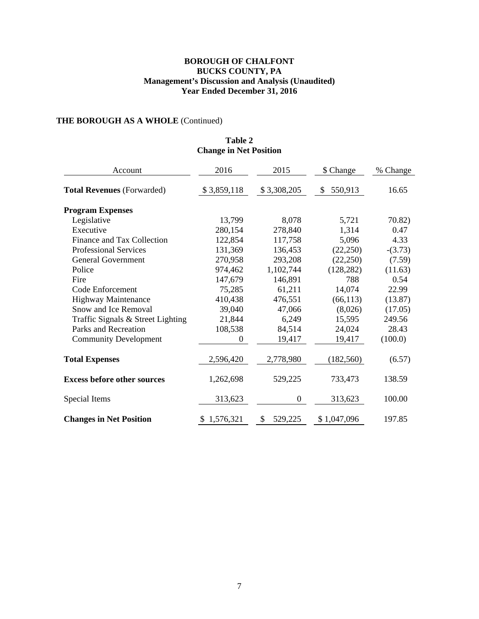# **THE BOROUGH AS A WHOLE** (Continued)

### **Table 2 Change in Net Position**

| Account                            | 2016        | 2015          | \$ Change   | % Change  |
|------------------------------------|-------------|---------------|-------------|-----------|
| <b>Total Revenues (Forwarded)</b>  | \$3,859,118 | \$3,308,205   | \$550,913   | 16.65     |
| <b>Program Expenses</b>            |             |               |             |           |
| Legislative                        | 13,799      | 8,078         | 5,721       | 70.82)    |
| Executive                          | 280,154     | 278,840       | 1,314       | 0.47      |
| Finance and Tax Collection         | 122,854     | 117,758       | 5,096       | 4.33      |
| Professional Services              | 131,369     | 136,453       | (22,250)    | $-(3.73)$ |
| <b>General Government</b>          | 270,958     | 293,208       | (22, 250)   | (7.59)    |
| Police                             | 974,462     | 1,102,744     | (128, 282)  | (11.63)   |
| Fire                               | 147,679     | 146,891       | 788         | 0.54      |
| Code Enforcement                   | 75,285      | 61,211        | 14,074      | 22.99     |
| <b>Highway Maintenance</b>         | 410,438     | 476,551       | (66, 113)   | (13.87)   |
| Snow and Ice Removal               | 39,040      | 47,066        | (8,026)     | (17.05)   |
| Traffic Signals & Street Lighting  | 21,844      | 6,249         | 15,595      | 249.56    |
| Parks and Recreation               | 108,538     | 84,514        | 24,024      | 28.43     |
| <b>Community Development</b>       | $\Omega$    | 19,417        | 19,417      | (100.0)   |
| <b>Total Expenses</b>              | 2,596,420   | 2,778,980     | (182, 560)  | (6.57)    |
| <b>Excess before other sources</b> | 1,262,698   | 529,225       | 733,473     | 138.59    |
| Special Items                      | 313,623     | $\mathbf{0}$  | 313,623     | 100.00    |
| <b>Changes in Net Position</b>     | \$1,576,321 | \$<br>529,225 | \$1,047,096 | 197.85    |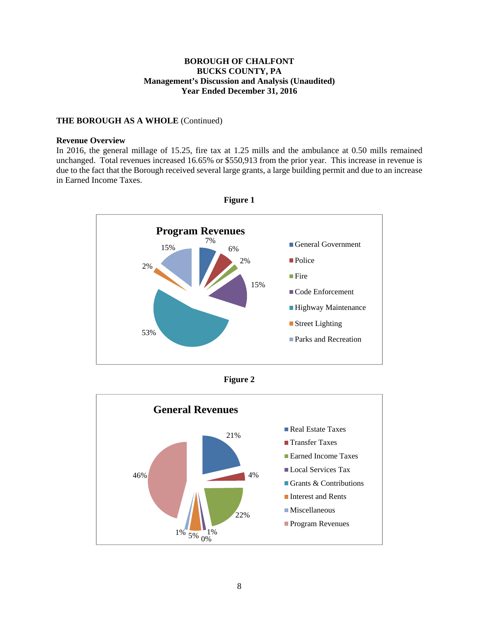## **THE BOROUGH AS A WHOLE** (Continued)

#### **Revenue Overview**

In 2016, the general millage of 15.25, fire tax at 1.25 mills and the ambulance at 0.50 mills remained unchanged. Total revenues increased 16.65% or \$550,913 from the prior year. This increase in revenue is due to the fact that the Borough received several large grants, a large building permit and due to an increase in Earned Income Taxes.







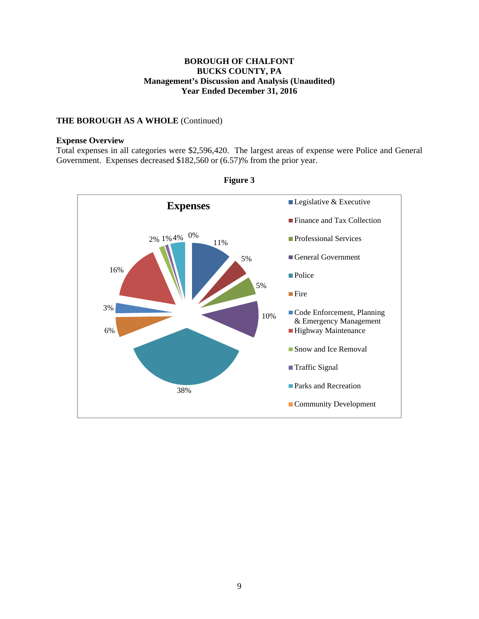# **THE BOROUGH AS A WHOLE** (Continued)

#### **Expense Overview**

Total expenses in all categories were \$2,596,420. The largest areas of expense were Police and General Government. Expenses decreased \$182,560 or (6.57)% from the prior year.



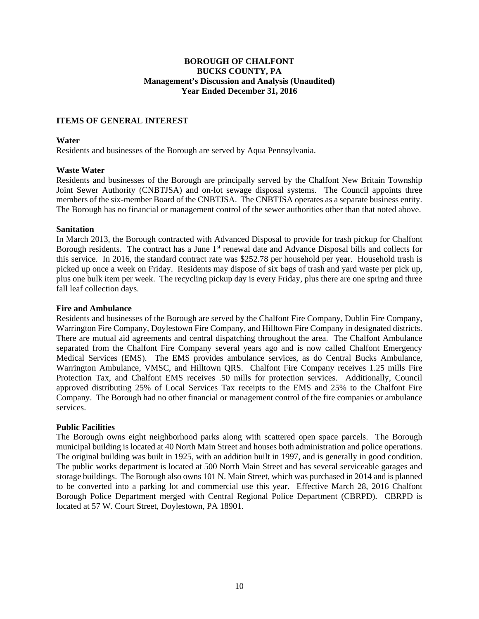# **ITEMS OF GENERAL INTEREST**

### **Water**

Residents and businesses of the Borough are served by Aqua Pennsylvania.

### **Waste Water**

Residents and businesses of the Borough are principally served by the Chalfont New Britain Township Joint Sewer Authority (CNBTJSA) and on-lot sewage disposal systems. The Council appoints three members of the six-member Board of the CNBTJSA. The CNBTJSA operates as a separate business entity. The Borough has no financial or management control of the sewer authorities other than that noted above.

### **Sanitation**

In March 2013, the Borough contracted with Advanced Disposal to provide for trash pickup for Chalfont Borough residents. The contract has a June  $1<sup>st</sup>$  renewal date and Advance Disposal bills and collects for this service. In 2016, the standard contract rate was \$252.78 per household per year. Household trash is picked up once a week on Friday. Residents may dispose of six bags of trash and yard waste per pick up, plus one bulk item per week. The recycling pickup day is every Friday, plus there are one spring and three fall leaf collection days.

### **Fire and Ambulance**

Residents and businesses of the Borough are served by the Chalfont Fire Company, Dublin Fire Company, Warrington Fire Company, Doylestown Fire Company, and Hilltown Fire Company in designated districts. There are mutual aid agreements and central dispatching throughout the area. The Chalfont Ambulance separated from the Chalfont Fire Company several years ago and is now called Chalfont Emergency Medical Services (EMS). The EMS provides ambulance services, as do Central Bucks Ambulance, Warrington Ambulance, VMSC, and Hilltown QRS. Chalfont Fire Company receives 1.25 mills Fire Protection Tax, and Chalfont EMS receives .50 mills for protection services. Additionally, Council approved distributing 25% of Local Services Tax receipts to the EMS and 25% to the Chalfont Fire Company. The Borough had no other financial or management control of the fire companies or ambulance services.

# **Public Facilities**

The Borough owns eight neighborhood parks along with scattered open space parcels. The Borough municipal building is located at 40 North Main Street and houses both administration and police operations. The original building was built in 1925, with an addition built in 1997, and is generally in good condition. The public works department is located at 500 North Main Street and has several serviceable garages and storage buildings. The Borough also owns 101 N. Main Street, which was purchased in 2014 and is planned to be converted into a parking lot and commercial use this year. Effective March 28, 2016 Chalfont Borough Police Department merged with Central Regional Police Department (CBRPD). CBRPD is located at 57 W. Court Street, Doylestown, PA 18901.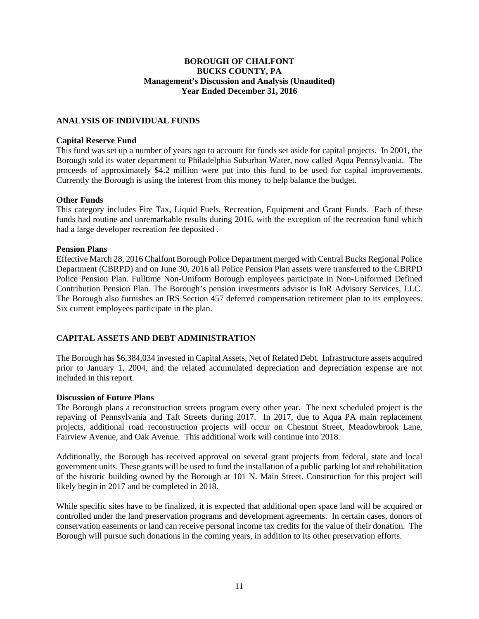# **ANALYSIS OF INDIVIDUAL FUNDS**

### **Capital Reserve Fund**

This fund was set up a number of years ago to account for funds set aside for capital projects. In 2001, the Borough sold its water department to Philadelphia Suburban Water, now called Aqua Pennsylvania. The proceeds of approximately \$4.2 million were put into this fund to be used for capital improvements. Currently the Borough is using the interest from this money to help balance the budget.

### **Other Funds**

This category includes Fire Tax, Liquid Fuels, Recreation, Equipment and Grant Funds. Each of these funds had routine and unremarkable results during 2016, with the exception of the recreation fund which had a large developer recreation fee deposited .

### **Pension Plans**

Effective March 28, 2016 Chalfont Borough Police Department merged with Central Bucks Regional Police Department (CBRPD) and on June 30, 2016 all Police Pension Plan assets were transferred to the CBRPD Police Pension Plan. Fulltime Non-Uniform Borough employees participate in Non-Uniformed Defined Contribution Pension Plan. The Borough's pension investments advisor is InR Advisory Services, LLC. The Borough also furnishes an IRS Section 457 deferred compensation retirement plan to its employees. Six current employees participate in the plan.

# **CAPITAL ASSETS AND DEBT ADMINISTRATION**

The Borough has \$6,384,034 invested in Capital Assets, Net of Related Debt. Infrastructure assets acquired prior to January 1, 2004, and the related accumulated depreciation and depreciation expense are not included in this report.

# **Discussion of Future Plans**

The Borough plans a reconstruction streets program every other year. The next scheduled project is the repaving of Pennsylvania and Taft Streets during 2017. In 2017, due to Aqua PA main replacement projects, additional road reconstruction projects will occur on Chestnut Street, Meadowbrook Lane, Fairview Avenue, and Oak Avenue. This additional work will continue into 2018.

Additionally, the Borough has received approval on several grant projects from federal, state and local government units. These grants will be used to fund the installation of a public parking lot and rehabilitation of the historic building owned by the Borough at 101 N. Main Street. Construction for this project will likely begin in 2017 and be completed in 2018.

While specific sites have to be finalized, it is expected that additional open space land will be acquired or controlled under the land preservation programs and development agreements. In certain cases, donors of conservation easements or land can receive personal income tax credits for the value of their donation. The Borough will pursue such donations in the coming years, in addition to its other preservation efforts.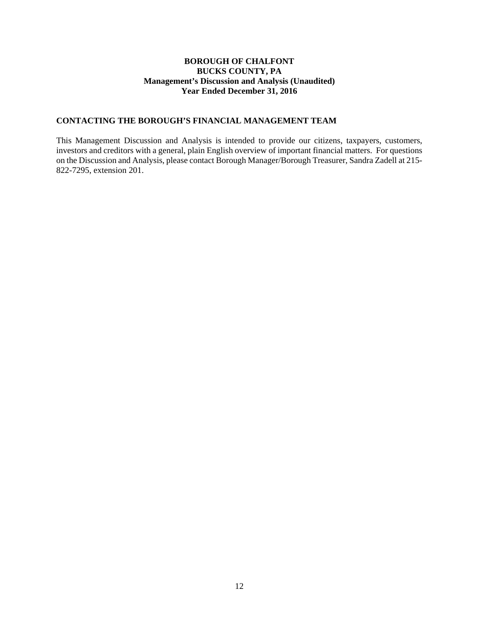# **CONTACTING THE BOROUGH'S FINANCIAL MANAGEMENT TEAM**

This Management Discussion and Analysis is intended to provide our citizens, taxpayers, customers, investors and creditors with a general, plain English overview of important financial matters. For questions on the Discussion and Analysis, please contact Borough Manager/Borough Treasurer, Sandra Zadell at 215- 822-7295, extension 201.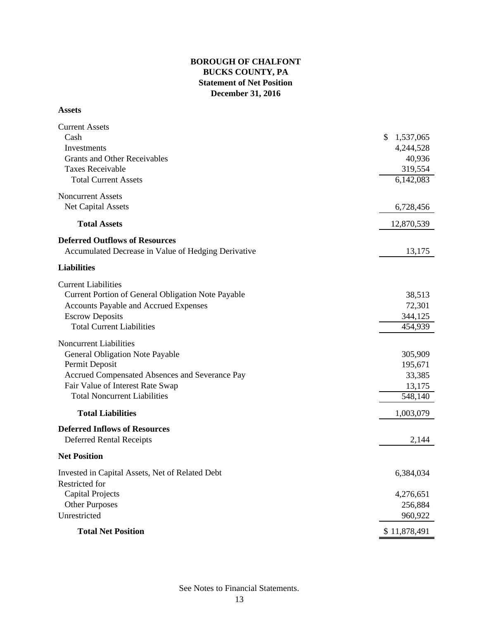# **BOROUGH OF CHALFONT BUCKS COUNTY, PA Statement of Net Position December 31, 2016**

### **Assets**

| <b>Current Assets</b><br>Cash                                                                | \$<br>1,537,065 |
|----------------------------------------------------------------------------------------------|-----------------|
| Investments                                                                                  | 4,244,528       |
| <b>Grants and Other Receivables</b>                                                          | 40,936          |
| <b>Taxes Receivable</b>                                                                      | 319,554         |
| <b>Total Current Assets</b>                                                                  | 6,142,083       |
| <b>Noncurrent Assets</b>                                                                     |                 |
| <b>Net Capital Assets</b>                                                                    | 6,728,456       |
| <b>Total Assets</b>                                                                          | 12,870,539      |
| <b>Deferred Outflows of Resources</b><br>Accumulated Decrease in Value of Hedging Derivative | 13,175          |
| <b>Liabilities</b>                                                                           |                 |
| <b>Current Liabilities</b>                                                                   |                 |
| Current Portion of General Obligation Note Payable                                           | 38,513          |
| <b>Accounts Payable and Accrued Expenses</b>                                                 | 72,301          |
| <b>Escrow Deposits</b>                                                                       | 344,125         |
| <b>Total Current Liabilities</b>                                                             | 454,939         |
| <b>Noncurrent Liabilities</b>                                                                |                 |
| General Obligation Note Payable                                                              | 305,909         |
| Permit Deposit                                                                               | 195,671         |
| Accrued Compensated Absences and Severance Pay                                               | 33,385          |
| Fair Value of Interest Rate Swap<br><b>Total Noncurrent Liabilities</b>                      | 13,175          |
|                                                                                              | 548,140         |
| <b>Total Liabilities</b>                                                                     | 1,003,079       |
| <b>Deferred Inflows of Resources</b><br><b>Deferred Rental Receipts</b>                      | 2,144           |
| <b>Net Position</b>                                                                          |                 |
| Invested in Capital Assets, Net of Related Debt                                              | 6,384,034       |
| Restricted for                                                                               |                 |
| <b>Capital Projects</b>                                                                      | 4,276,651       |
| <b>Other Purposes</b>                                                                        | 256,884         |
| Unrestricted                                                                                 | 960,922         |
| <b>Total Net Position</b>                                                                    | \$11,878,491    |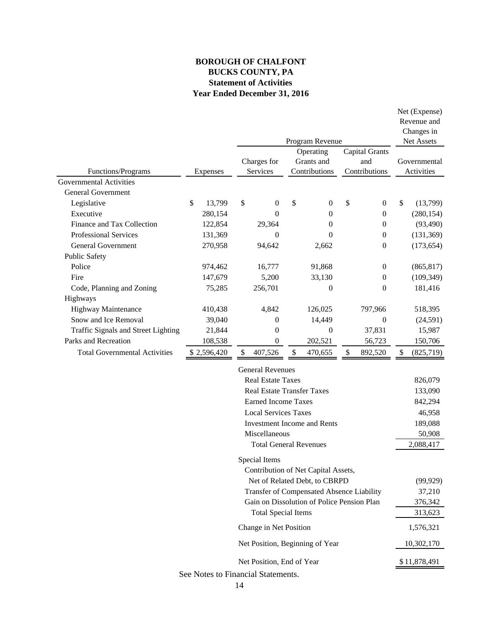# **BOROUGH OF CHALFONT BUCKS COUNTY, PA Statement of Activities Year Ended December 31, 2016**

|                                                             |              |             |              | Charges for      |               | Program Revenue<br>Operating<br>Grants and |               | <b>Capital Grants</b><br>and |               | Net (Expense)<br>Revenue and<br>Changes in<br>Net Assets<br>Governmental |
|-------------------------------------------------------------|--------------|-------------|--------------|------------------|---------------|--------------------------------------------|---------------|------------------------------|---------------|--------------------------------------------------------------------------|
| Functions/Programs                                          |              | Expenses    |              | Services         |               | Contributions                              |               | Contributions                |               | Activities                                                               |
| <b>Governmental Activities</b><br><b>General Government</b> |              |             |              |                  |               |                                            |               |                              |               |                                                                          |
| Legislative                                                 | $\mathbb{S}$ | 13,799      | $\mathbb{S}$ | $\mathbf{0}$     | $\mathcal{S}$ | $\Omega$                                   | $\mathcal{S}$ | $\overline{0}$               | $\mathcal{S}$ | (13,799)                                                                 |
| Executive                                                   |              | 280,154     |              | $\theta$         |               | $\Omega$                                   |               | $\Omega$                     |               | (280, 154)                                                               |
| Finance and Tax Collection                                  |              | 122,854     |              | 29,364           |               | 0                                          |               | $\mathbf{0}$                 |               | (93, 490)                                                                |
| <b>Professional Services</b>                                |              | 131,369     |              | 0                |               | 0                                          |               | $\overline{0}$               |               | (131, 369)                                                               |
| <b>General Government</b>                                   |              | 270,958     |              | 94,642           |               | 2,662                                      |               | $\boldsymbol{0}$             |               | (173, 654)                                                               |
| <b>Public Safety</b>                                        |              |             |              |                  |               |                                            |               |                              |               |                                                                          |
| Police                                                      |              | 974,462     |              | 16,777           |               | 91,868                                     |               | $\overline{0}$               |               | (865, 817)                                                               |
| Fire                                                        |              | 147,679     |              | 5,200            |               | 33,130                                     |               | $\mathbf{0}$                 |               | (109, 349)                                                               |
| Code, Planning and Zoning                                   |              | 75,285      |              | 256,701          |               | $\theta$                                   |               | $\theta$                     |               | 181,416                                                                  |
| Highways                                                    |              |             |              |                  |               |                                            |               |                              |               |                                                                          |
| <b>Highway Maintenance</b>                                  |              | 410,438     |              | 4,842            |               | 126,025                                    |               | 797,966                      |               | 518,395                                                                  |
| Snow and Ice Removal                                        |              | 39,040      |              | 0                |               | 14,449                                     |               | $\Omega$                     |               | (24,591)                                                                 |
| Traffic Signals and Street Lighting                         |              | 21,844      |              | $\boldsymbol{0}$ |               | $\theta$                                   |               | 37,831                       |               | 15,987                                                                   |
| Parks and Recreation                                        |              | 108,538     |              | $\theta$         |               | 202,521                                    |               | 56,723                       |               | 150,706                                                                  |
| <b>Total Governmental Activities</b>                        |              | \$2,596,420 | S            | 407,526          | \$.           | 470,655                                    | \$            | 892,520                      | \$            | (825, 719)                                                               |

| <b>General Revenues</b>                          |              |
|--------------------------------------------------|--------------|
| <b>Real Estate Taxes</b>                         | 826,079      |
| <b>Real Estate Transfer Taxes</b>                | 133,090      |
| Earned Income Taxes                              | 842,294      |
| <b>Local Services Taxes</b>                      | 46,958       |
| <b>Investment Income and Rents</b>               | 189,088      |
| Miscellaneous                                    | 50,908       |
| <b>Total General Revenues</b>                    | 2,088,417    |
| Special Items                                    |              |
| Contribution of Net Capital Assets,              |              |
| Net of Related Debt, to CBRPD                    | (99, 929)    |
| <b>Transfer of Compensated Absence Liability</b> | 37,210       |
| Gain on Dissolution of Police Pension Plan       | 376,342      |
| <b>Total Special Items</b>                       | 313,623      |
| Change in Net Position                           | 1,576,321    |
| Net Position, Beginning of Year                  | 10,302,170   |
| Net Position, End of Year                        | \$11,878,491 |
| See Notes to Financial Statements.               |              |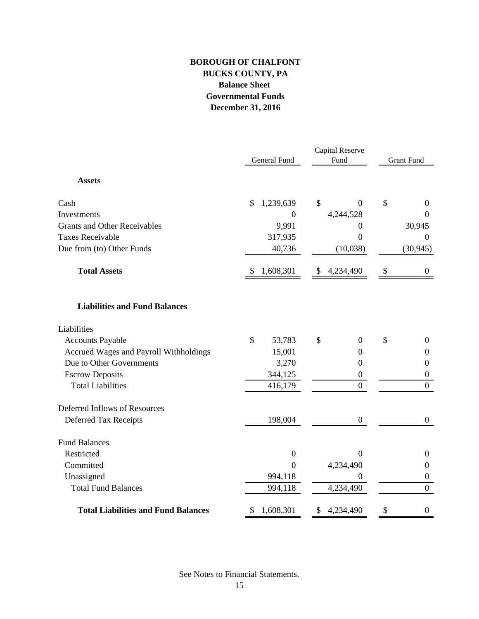# **BOROUGH OF CHALFONT BUCKS COUNTY, PA Balance Sheet Governmental Funds December 31, 2016**

|                                            | General Fund            | Capital Reserve<br>Fund |                                 |  |
|--------------------------------------------|-------------------------|-------------------------|---------------------------------|--|
| <b>Assets</b>                              |                         |                         | <b>Grant Fund</b>               |  |
|                                            |                         |                         |                                 |  |
| Cash                                       | \$<br>1,239,639         | \$<br>$\Omega$          | \$<br>$\theta$                  |  |
| Investments                                | $\overline{0}$          | 4,244,528               | 0                               |  |
| <b>Grants and Other Receivables</b>        | 9,991                   | $\boldsymbol{0}$        | 30,945                          |  |
| <b>Taxes Receivable</b>                    | 317,935                 | $\theta$                | $\mathbf{0}$                    |  |
| Due from (to) Other Funds                  | 40,736                  | (10,038)                | (30, 945)                       |  |
| <b>Total Assets</b>                        | 1,608,301<br>\$.        | 4,234,490<br>\$         | $\mathcal{S}$<br>$\overline{0}$ |  |
| <b>Liabilities and Fund Balances</b>       |                         |                         |                                 |  |
| Liabilities                                |                         |                         |                                 |  |
| <b>Accounts Payable</b>                    | $\mathcal{S}$<br>53,783 | \$<br>$\boldsymbol{0}$  | $\mathcal{S}$<br>$\overline{0}$ |  |
| Accrued Wages and Payroll Withholdings     | 15,001                  | $\theta$                | $\boldsymbol{0}$                |  |
| Due to Other Governments                   | 3,270                   | $\boldsymbol{0}$        | $\mathbf{0}$                    |  |
| <b>Escrow Deposits</b>                     | 344,125                 | $\boldsymbol{0}$        | $\boldsymbol{0}$                |  |
| <b>Total Liabilities</b>                   | 416,179                 | $\overline{0}$          | $\overline{0}$                  |  |
| Deferred Inflows of Resources              |                         |                         |                                 |  |
| Deferred Tax Receipts                      | 198,004                 | $\boldsymbol{0}$        | $\boldsymbol{0}$                |  |
| <b>Fund Balances</b>                       |                         |                         |                                 |  |
| Restricted                                 | $\mathbf{0}$            | $\theta$                | $\overline{0}$                  |  |
| Committed                                  | $\theta$                | 4,234,490               | $\mathbf{0}$                    |  |
| Unassigned                                 | 994,118                 | $\boldsymbol{0}$        | $\boldsymbol{0}$                |  |
| <b>Total Fund Balances</b>                 | 994,118                 | 4,234,490               | $\overline{0}$                  |  |
| <b>Total Liabilities and Fund Balances</b> | 1,608,301<br>\$         | \$4,234,490             | \$<br>$\boldsymbol{0}$          |  |

See Notes to Financial Statements.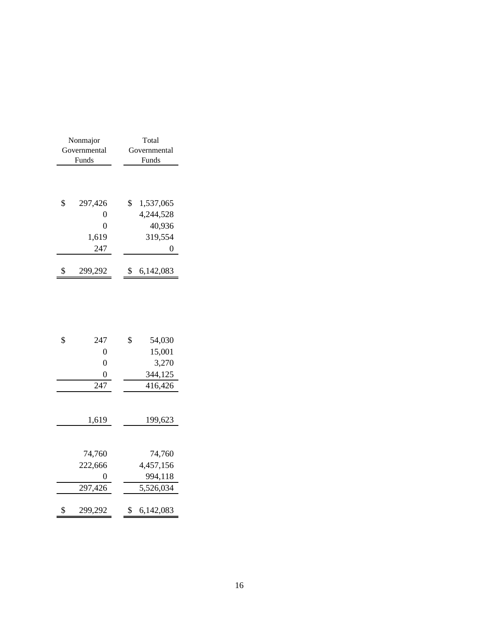| Nonmajor<br>Governmental<br><b>Funds</b> |         | Total<br>Governmental<br>Funds |
|------------------------------------------|---------|--------------------------------|
|                                          |         |                                |
| \$                                       | 297,426 | \$<br>1,537,065                |
|                                          | 0       | 4,244,528                      |
|                                          | 0       | 40,936                         |
|                                          | 1,619   | 319,554                        |
|                                          | 247     | 0                              |
|                                          |         |                                |
|                                          | 299,292 | 6,142,083                      |

| \$<br>247     | \$<br>54,030    |
|---------------|-----------------|
| 0             | 15,001          |
| 0             | 3,270           |
| 0             | 344,125         |
| 247           | 416,426         |
|               |                 |
|               |                 |
| 1,619         | 199,623         |
|               |                 |
|               |                 |
| 74,760        | 74,760          |
| 222,666       | 4,457,156       |
| 0             | 994,118         |
| 297,426       | 5,526,034       |
|               |                 |
| \$<br>299,292 | \$<br>6,142,083 |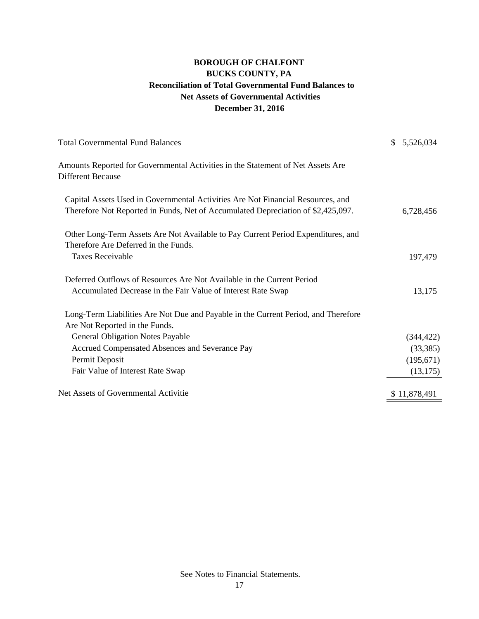# **Net Assets of Governmental Activities BOROUGH OF CHALFONT BUCKS COUNTY, PA Reconciliation of Total Governmental Fund Balances to December 31, 2016**

| <b>Total Governmental Fund Balances</b>                                                                                                                             | \$5,526,034  |
|---------------------------------------------------------------------------------------------------------------------------------------------------------------------|--------------|
| Amounts Reported for Governmental Activities in the Statement of Net Assets Are<br>Different Because                                                                |              |
| Capital Assets Used in Governmental Activities Are Not Financial Resources, and<br>Therefore Not Reported in Funds, Net of Accumulated Depreciation of \$2,425,097. | 6,728,456    |
| Other Long-Term Assets Are Not Available to Pay Current Period Expenditures, and<br>Therefore Are Deferred in the Funds.                                            |              |
| <b>Taxes Receivable</b>                                                                                                                                             | 197,479      |
| Deferred Outflows of Resources Are Not Available in the Current Period<br>Accumulated Decrease in the Fair Value of Interest Rate Swap                              | 13,175       |
| Long-Term Liabilities Are Not Due and Payable in the Current Period, and Therefore<br>Are Not Reported in the Funds.                                                |              |
| General Obligation Notes Payable                                                                                                                                    | (344, 422)   |
| Accrued Compensated Absences and Severance Pay                                                                                                                      | (33, 385)    |
| Permit Deposit                                                                                                                                                      | (195, 671)   |
| Fair Value of Interest Rate Swap                                                                                                                                    | (13, 175)    |
| Net Assets of Governmental Activitie                                                                                                                                | \$11,878,491 |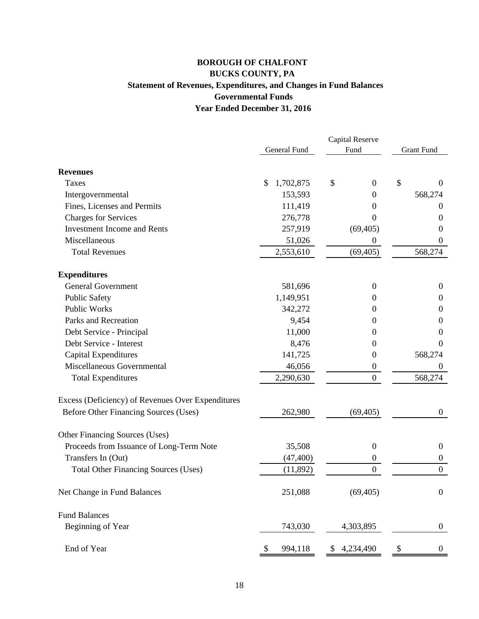# **BOROUGH OF CHALFONT BUCKS COUNTY, PA Statement of Revenues, Expenditures, and Changes in Fund Balances Governmental Funds Year Ended December 31, 2016**

|                                                   |                 | Capital Reserve      | <b>Grant Fund</b>        |  |
|---------------------------------------------------|-----------------|----------------------|--------------------------|--|
|                                                   | General Fund    | Fund                 |                          |  |
| <b>Revenues</b>                                   |                 |                      |                          |  |
| <b>Taxes</b>                                      | \$<br>1,702,875 | \$<br>$\overline{0}$ | \$<br>$\mathbf{0}$       |  |
| Intergovernmental                                 | 153,593         | $\Omega$             | 568,274                  |  |
| Fines, Licenses and Permits                       | 111,419         | $\Omega$             | $\theta$                 |  |
| <b>Charges for Services</b>                       | 276,778         | $\Omega$             | 0                        |  |
| <b>Investment Income and Rents</b>                | 257,919         | (69, 405)            | $\boldsymbol{0}$         |  |
| Miscellaneous                                     | 51,026          | $\theta$             | $\Omega$                 |  |
| <b>Total Revenues</b>                             | 2,553,610       | (69, 405)            | 568,274                  |  |
| <b>Expenditures</b>                               |                 |                      |                          |  |
| <b>General Government</b>                         | 581,696         | $\boldsymbol{0}$     | $\mathbf{0}$             |  |
| <b>Public Safety</b>                              | 1,149,951       | $\theta$             | $\mathbf{0}$             |  |
| <b>Public Works</b>                               | 342,272         | 0                    | $\boldsymbol{0}$         |  |
| Parks and Recreation                              | 9,454           | $\Omega$             | $\boldsymbol{0}$         |  |
| Debt Service - Principal                          | 11,000          | $\Omega$             | $\boldsymbol{0}$         |  |
| Debt Service - Interest                           | 8,476           | 0                    | $\theta$                 |  |
| <b>Capital Expenditures</b>                       | 141,725         | $\boldsymbol{0}$     | 568,274                  |  |
| Miscellaneous Governmental                        | 46,056          | $\boldsymbol{0}$     | $\theta$                 |  |
| <b>Total Expenditures</b>                         | 2,290,630       | $\overline{0}$       | 568,274                  |  |
| Excess (Deficiency) of Revenues Over Expenditures |                 |                      |                          |  |
| Before Other Financing Sources (Uses)             | 262,980         | (69, 405)            | $\boldsymbol{0}$         |  |
| Other Financing Sources (Uses)                    |                 |                      |                          |  |
| Proceeds from Issuance of Long-Term Note          | 35,508          | $\boldsymbol{0}$     | $\mathbf{0}$             |  |
| Transfers In (Out)                                | (47, 400)       | $\boldsymbol{0}$     | $\boldsymbol{0}$         |  |
| <b>Total Other Financing Sources (Uses)</b>       | (11,892)        | $\boldsymbol{0}$     | $\boldsymbol{0}$         |  |
| Net Change in Fund Balances                       | 251,088         | (69, 405)            | $\boldsymbol{0}$         |  |
| <b>Fund Balances</b>                              |                 |                      |                          |  |
| Beginning of Year                                 | 743,030         | 4,303,895            | $\boldsymbol{0}$         |  |
| End of Year                                       | \$<br>994,118   | 4,234,490<br>\$      | $\$$<br>$\boldsymbol{0}$ |  |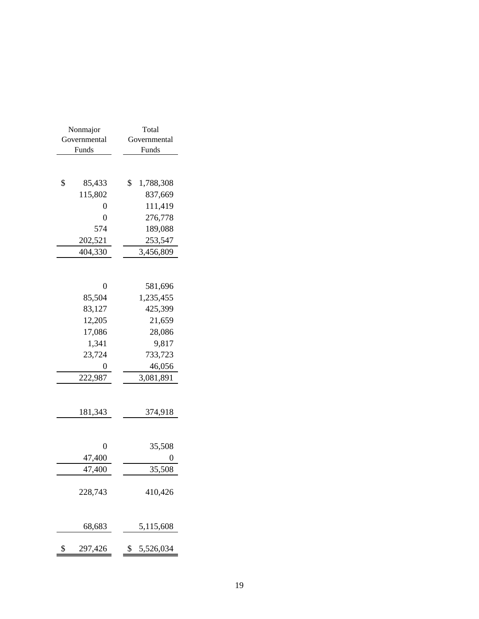| Nonmajor       | Total           |
|----------------|-----------------|
| Governmental   | Governmental    |
| Funds          | Funds           |
|                |                 |
| \$<br>85,433   | \$<br>1,788,308 |
| 115,802        | 837,669         |
| $\overline{0}$ | 111,419         |
| $\overline{0}$ | 276,778         |
| 574            | 189,088         |
| 202,521        | 253,547         |
| 404,330        | 3,456,809       |
|                |                 |
| 0              | 581,696         |
| 85,504         | 1,235,455       |
| 83,127         | 425,399         |
| 12,205         | 21,659          |
| 17,086         | 28,086          |
| 1,341          | 9,817           |
| 23,724         | 733,723         |
| 0              | 46,056          |
| 222,987        | 3,081,891       |
|                |                 |
| 181,343        | 374,918         |
|                |                 |
| 0              | 35,508          |
| 47,400         | 0               |
| 47,400         | 35,508          |
| 228,743        | 410,426         |
| 68,683         | 5,115,608       |
| \$<br>297,426  | \$<br>5,526,034 |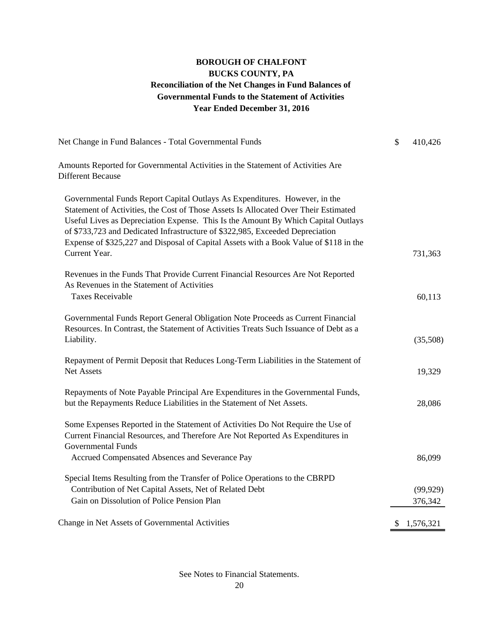# **BUCKS COUNTY, PA Reconciliation of the Net Changes in Fund Balances of Governmental Funds to the Statement of Activities BOROUGH OF CHALFONT Year Ended December 31, 2016**

| Net Change in Fund Balances - Total Governmental Funds                                                                                                                                                                                                                                                                                                                                                                                            | \$<br>410,426   |
|---------------------------------------------------------------------------------------------------------------------------------------------------------------------------------------------------------------------------------------------------------------------------------------------------------------------------------------------------------------------------------------------------------------------------------------------------|-----------------|
| Amounts Reported for Governmental Activities in the Statement of Activities Are<br><b>Different Because</b>                                                                                                                                                                                                                                                                                                                                       |                 |
| Governmental Funds Report Capital Outlays As Expenditures. However, in the<br>Statement of Activities, the Cost of Those Assets Is Allocated Over Their Estimated<br>Useful Lives as Depreciation Expense. This Is the Amount By Which Capital Outlays<br>of \$733,723 and Dedicated Infrastructure of \$322,985, Exceeded Depreciation<br>Expense of \$325,227 and Disposal of Capital Assets with a Book Value of \$118 in the<br>Current Year. | 731,363         |
| Revenues in the Funds That Provide Current Financial Resources Are Not Reported<br>As Revenues in the Statement of Activities<br><b>Taxes Receivable</b>                                                                                                                                                                                                                                                                                          | 60,113          |
|                                                                                                                                                                                                                                                                                                                                                                                                                                                   |                 |
| Governmental Funds Report General Obligation Note Proceeds as Current Financial<br>Resources. In Contrast, the Statement of Activities Treats Such Issuance of Debt as a<br>Liability.                                                                                                                                                                                                                                                            | (35,508)        |
| Repayment of Permit Deposit that Reduces Long-Term Liabilities in the Statement of<br>Net Assets                                                                                                                                                                                                                                                                                                                                                  | 19,329          |
| Repayments of Note Payable Principal Are Expenditures in the Governmental Funds,<br>but the Repayments Reduce Liabilities in the Statement of Net Assets.                                                                                                                                                                                                                                                                                         | 28,086          |
| Some Expenses Reported in the Statement of Activities Do Not Require the Use of<br>Current Financial Resources, and Therefore Are Not Reported As Expenditures in<br><b>Governmental Funds</b>                                                                                                                                                                                                                                                    |                 |
| Accrued Compensated Absences and Severance Pay                                                                                                                                                                                                                                                                                                                                                                                                    | 86,099          |
| Special Items Resulting from the Transfer of Police Operations to the CBRPD                                                                                                                                                                                                                                                                                                                                                                       |                 |
| Contribution of Net Capital Assets, Net of Related Debt                                                                                                                                                                                                                                                                                                                                                                                           | (99, 929)       |
| Gain on Dissolution of Police Pension Plan                                                                                                                                                                                                                                                                                                                                                                                                        | 376,342         |
| Change in Net Assets of Governmental Activities                                                                                                                                                                                                                                                                                                                                                                                                   | \$<br>1,576,321 |

See Notes to Financial Statements.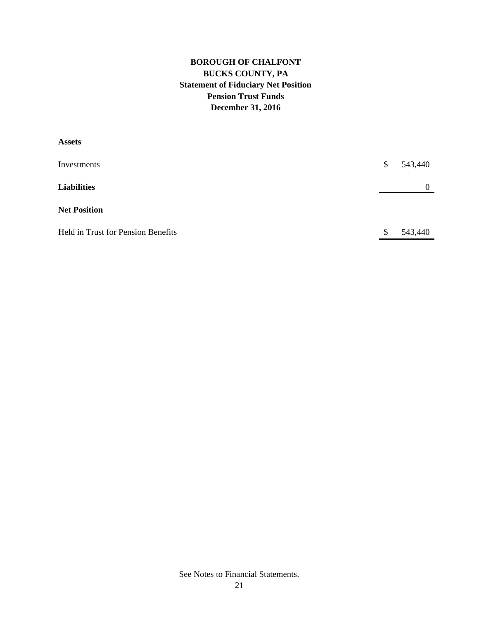# **BOROUGH OF CHALFONT BUCKS COUNTY, PA Statement of Fiduciary Net Position Pension Trust Funds December 31, 2016**

| <b>Assets</b>                      |    |          |
|------------------------------------|----|----------|
| Investments                        | \$ | 543,440  |
| <b>Liabilities</b>                 |    | $\Omega$ |
| <b>Net Position</b>                |    |          |
| Held in Trust for Pension Benefits | S  | 543,440  |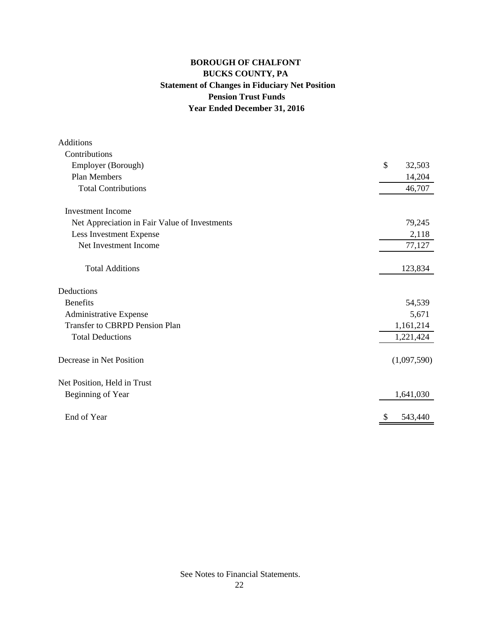# **BOROUGH OF CHALFONT BUCKS COUNTY, PA Statement of Changes in Fiduciary Net Position Pension Trust Funds Year Ended December 31, 2016**

| <b>Additions</b>                              |              |
|-----------------------------------------------|--------------|
| Contributions                                 |              |
| Employer (Borough)                            | \$<br>32,503 |
| Plan Members                                  | 14,204       |
| <b>Total Contributions</b>                    | 46,707       |
| <b>Investment Income</b>                      |              |
| Net Appreciation in Fair Value of Investments | 79,245       |
| Less Investment Expense                       | 2,118        |
| Net Investment Income                         | 77,127       |
| <b>Total Additions</b>                        | 123,834      |
| Deductions                                    |              |
| <b>Benefits</b>                               | 54,539       |
| Administrative Expense                        | 5,671        |
| <b>Transfer to CBRPD Pension Plan</b>         | 1,161,214    |
| <b>Total Deductions</b>                       | 1,221,424    |
| Decrease in Net Position                      | (1,097,590)  |
| Net Position, Held in Trust                   |              |
| Beginning of Year                             | 1,641,030    |
| End of Year                                   | 543,440      |

See Notes to Financial Statements.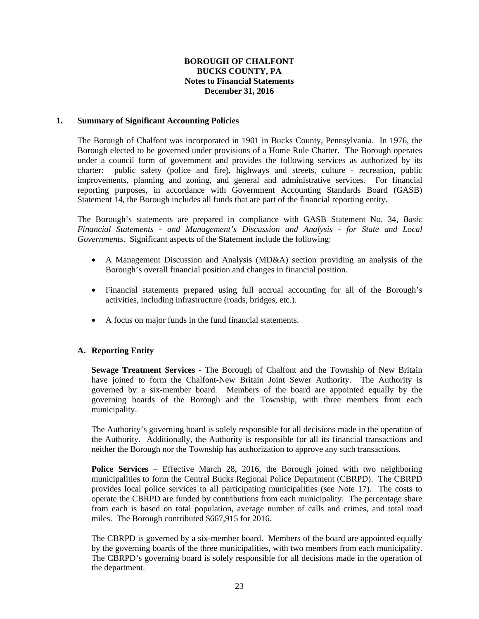## **1. Summary of Significant Accounting Policies**

 The Borough of Chalfont was incorporated in 1901 in Bucks County, Pennsylvania. In 1976, the Borough elected to be governed under provisions of a Home Rule Charter. The Borough operates under a council form of government and provides the following services as authorized by its charter: public safety (police and fire), highways and streets, culture - recreation, public improvements, planning and zoning, and general and administrative services. For financial reporting purposes, in accordance with Government Accounting Standards Board (GASB) Statement 14, the Borough includes all funds that are part of the financial reporting entity.

The Borough's statements are prepared in compliance with GASB Statement No. 34, *Basic Financial Statements - and Management's Discussion and Analysis - for State and Local Governments*. Significant aspects of the Statement include the following:

- A Management Discussion and Analysis (MD&A) section providing an analysis of the Borough's overall financial position and changes in financial position.
- Financial statements prepared using full accrual accounting for all of the Borough's activities, including infrastructure (roads, bridges, etc.).
- A focus on major funds in the fund financial statements.

# **A. Reporting Entity**

 **Sewage Treatment Services** - The Borough of Chalfont and the Township of New Britain have joined to form the Chalfont-New Britain Joint Sewer Authority. The Authority is governed by a six-member board. Members of the board are appointed equally by the governing boards of the Borough and the Township, with three members from each municipality.

 The Authority's governing board is solely responsible for all decisions made in the operation of the Authority. Additionally, the Authority is responsible for all its financial transactions and neither the Borough nor the Township has authorization to approve any such transactions.

**Police Services** – Effective March 28, 2016, the Borough joined with two neighboring municipalities to form the Central Bucks Regional Police Department (CBRPD). The CBRPD provides local police services to all participating municipalities (see Note 17). The costs to operate the CBRPD are funded by contributions from each municipality. The percentage share from each is based on total population, average number of calls and crimes, and total road miles. The Borough contributed \$667,915 for 2016.

 The CBRPD is governed by a six-member board. Members of the board are appointed equally by the governing boards of the three municipalities, with two members from each municipality. The CBRPD's governing board is solely responsible for all decisions made in the operation of the department.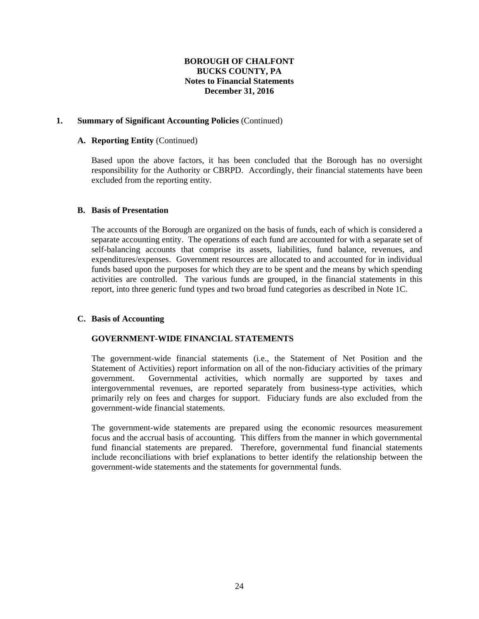# **1. Summary of Significant Accounting Policies** (Continued)

### **A. Reporting Entity** (Continued)

 Based upon the above factors, it has been concluded that the Borough has no oversight responsibility for the Authority or CBRPD. Accordingly, their financial statements have been excluded from the reporting entity.

#### **B. Basis of Presentation**

 The accounts of the Borough are organized on the basis of funds, each of which is considered a separate accounting entity. The operations of each fund are accounted for with a separate set of self-balancing accounts that comprise its assets, liabilities, fund balance, revenues, and expenditures/expenses. Government resources are allocated to and accounted for in individual funds based upon the purposes for which they are to be spent and the means by which spending activities are controlled. The various funds are grouped, in the financial statements in this report, into three generic fund types and two broad fund categories as described in Note 1C.

#### **C. Basis of Accounting**

#### **GOVERNMENT-WIDE FINANCIAL STATEMENTS**

The government-wide financial statements (i.e., the Statement of Net Position and the Statement of Activities) report information on all of the non-fiduciary activities of the primary government. Governmental activities, which normally are supported by taxes and intergovernmental revenues, are reported separately from business-type activities, which primarily rely on fees and charges for support. Fiduciary funds are also excluded from the government-wide financial statements.

The government-wide statements are prepared using the economic resources measurement focus and the accrual basis of accounting. This differs from the manner in which governmental fund financial statements are prepared. Therefore, governmental fund financial statements include reconciliations with brief explanations to better identify the relationship between the government-wide statements and the statements for governmental funds.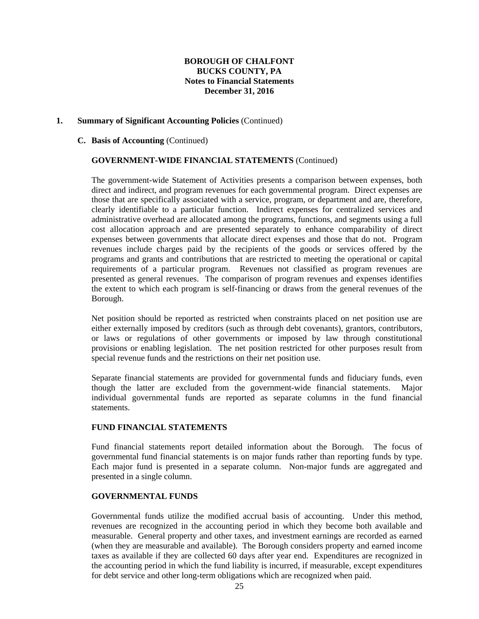## **1. Summary of Significant Accounting Policies** (Continued)

#### **C. Basis of Accounting** (Continued)

### **GOVERNMENT-WIDE FINANCIAL STATEMENTS** (Continued)

The government-wide Statement of Activities presents a comparison between expenses, both direct and indirect, and program revenues for each governmental program. Direct expenses are those that are specifically associated with a service, program, or department and are, therefore, clearly identifiable to a particular function. Indirect expenses for centralized services and administrative overhead are allocated among the programs, functions, and segments using a full cost allocation approach and are presented separately to enhance comparability of direct expenses between governments that allocate direct expenses and those that do not. Program revenues include charges paid by the recipients of the goods or services offered by the programs and grants and contributions that are restricted to meeting the operational or capital requirements of a particular program. Revenues not classified as program revenues are presented as general revenues. The comparison of program revenues and expenses identifies the extent to which each program is self-financing or draws from the general revenues of the Borough.

Net position should be reported as restricted when constraints placed on net position use are either externally imposed by creditors (such as through debt covenants), grantors, contributors, or laws or regulations of other governments or imposed by law through constitutional provisions or enabling legislation. The net position restricted for other purposes result from special revenue funds and the restrictions on their net position use.

Separate financial statements are provided for governmental funds and fiduciary funds, even though the latter are excluded from the government-wide financial statements. Major individual governmental funds are reported as separate columns in the fund financial statements.

#### **FUND FINANCIAL STATEMENTS**

Fund financial statements report detailed information about the Borough. The focus of governmental fund financial statements is on major funds rather than reporting funds by type. Each major fund is presented in a separate column. Non-major funds are aggregated and presented in a single column.

# **GOVERNMENTAL FUNDS**

Governmental funds utilize the modified accrual basis of accounting. Under this method, revenues are recognized in the accounting period in which they become both available and measurable. General property and other taxes, and investment earnings are recorded as earned (when they are measurable and available). The Borough considers property and earned income taxes as available if they are collected 60 days after year end. Expenditures are recognized in the accounting period in which the fund liability is incurred, if measurable, except expenditures for debt service and other long-term obligations which are recognized when paid.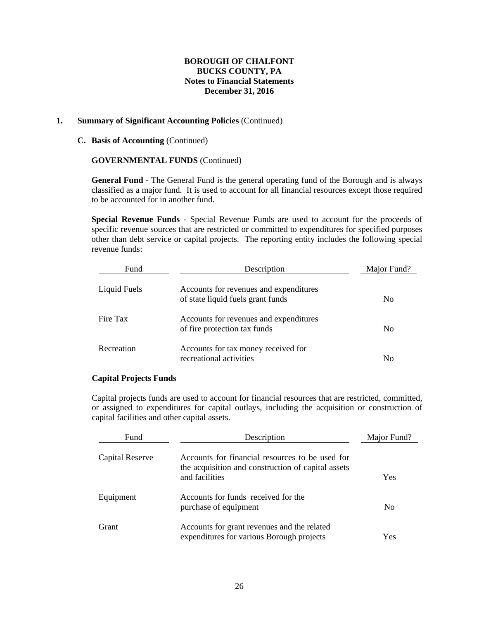# **1. Summary of Significant Accounting Policies** (Continued)

### **C. Basis of Accounting** (Continued)

### **GOVERNMENTAL FUNDS** (Continued)

**General Fund** - The General Fund is the general operating fund of the Borough and is always classified as a major fund. It is used to account for all financial resources except those required to be accounted for in another fund.

**Special Revenue Funds** - Special Revenue Funds are used to account for the proceeds of specific revenue sources that are restricted or committed to expenditures for specified purposes other than debt service or capital projects. The reporting entity includes the following special revenue funds:

| Fund         | Description                                                                 | Major Fund?    |
|--------------|-----------------------------------------------------------------------------|----------------|
| Liquid Fuels | Accounts for revenues and expenditures<br>of state liquid fuels grant funds | N <sub>0</sub> |
| Fire Tax     | Accounts for revenues and expenditures<br>of fire protection tax funds      | N <sub>0</sub> |
| Recreation   | Accounts for tax money received for<br>recreational activities              | N <sub>0</sub> |

# **Capital Projects Funds**

Capital projects funds are used to account for financial resources that are restricted, committed, or assigned to expenditures for capital outlays, including the acquisition or construction of capital facilities and other capital assets.

| Fund            | Description                                                                                                             | Major Fund?    |
|-----------------|-------------------------------------------------------------------------------------------------------------------------|----------------|
| Capital Reserve | Accounts for financial resources to be used for<br>the acquisition and construction of capital assets<br>and facilities | Yes            |
| Equipment       | Accounts for funds received for the<br>purchase of equipment                                                            | N <sub>0</sub> |
| Grant           | Accounts for grant revenues and the related<br>expenditures for various Borough projects                                | Yes            |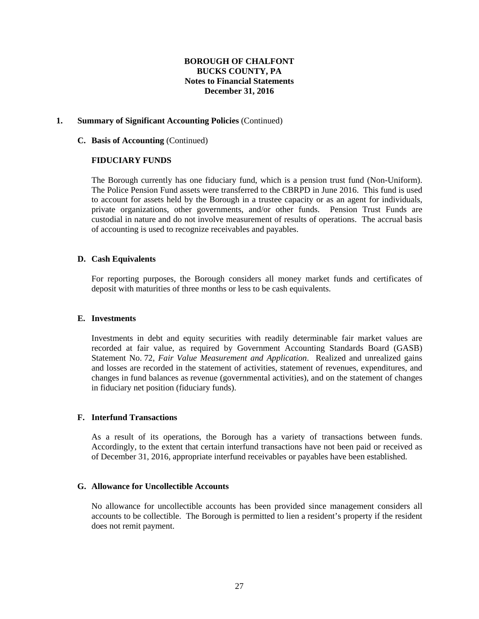## **1. Summary of Significant Accounting Policies** (Continued)

#### **C. Basis of Accounting** (Continued)

### **FIDUCIARY FUNDS**

 The Borough currently has one fiduciary fund, which is a pension trust fund (Non-Uniform). The Police Pension Fund assets were transferred to the CBRPD in June 2016. This fund is used to account for assets held by the Borough in a trustee capacity or as an agent for individuals, private organizations, other governments, and/or other funds. Pension Trust Funds are custodial in nature and do not involve measurement of results of operations. The accrual basis of accounting is used to recognize receivables and payables.

### **D. Cash Equivalents**

For reporting purposes, the Borough considers all money market funds and certificates of deposit with maturities of three months or less to be cash equivalents.

#### **E. Investments**

Investments in debt and equity securities with readily determinable fair market values are recorded at fair value, as required by Government Accounting Standards Board (GASB) Statement No. 72, *Fair Value Measurement and Application*. Realized and unrealized gains and losses are recorded in the statement of activities, statement of revenues, expenditures, and changes in fund balances as revenue (governmental activities), and on the statement of changes in fiduciary net position (fiduciary funds).

# **F. Interfund Transactions**

 As a result of its operations, the Borough has a variety of transactions between funds. Accordingly, to the extent that certain interfund transactions have not been paid or received as of December 31, 2016, appropriate interfund receivables or payables have been established.

# **G. Allowance for Uncollectible Accounts**

No allowance for uncollectible accounts has been provided since management considers all accounts to be collectible. The Borough is permitted to lien a resident's property if the resident does not remit payment.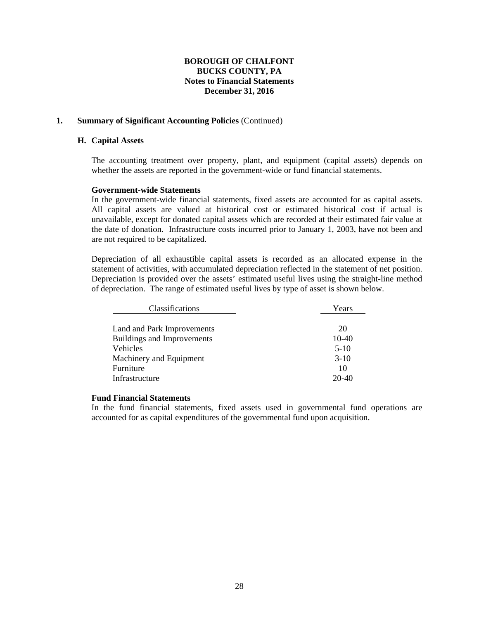### **1. Summary of Significant Accounting Policies** (Continued)

#### **H. Capital Assets**

 The accounting treatment over property, plant, and equipment (capital assets) depends on whether the assets are reported in the government-wide or fund financial statements.

### **Government-wide Statements**

 In the government-wide financial statements, fixed assets are accounted for as capital assets. All capital assets are valued at historical cost or estimated historical cost if actual is unavailable, except for donated capital assets which are recorded at their estimated fair value at the date of donation. Infrastructure costs incurred prior to January 1, 2003, have not been and are not required to be capitalized.

 Depreciation of all exhaustible capital assets is recorded as an allocated expense in the statement of activities, with accumulated depreciation reflected in the statement of net position. Depreciation is provided over the assets' estimated useful lives using the straight-line method of depreciation. The range of estimated useful lives by type of asset is shown below.

| Classifications                   | Years   |
|-----------------------------------|---------|
| Land and Park Improvements        | 20      |
| <b>Buildings and Improvements</b> | $10-40$ |
| <b>Vehicles</b>                   | $5-10$  |
| Machinery and Equipment           | $3-10$  |
| Furniture                         | 10      |
| Infrastructure                    | $20-40$ |

#### **Fund Financial Statements**

 In the fund financial statements, fixed assets used in governmental fund operations are accounted for as capital expenditures of the governmental fund upon acquisition.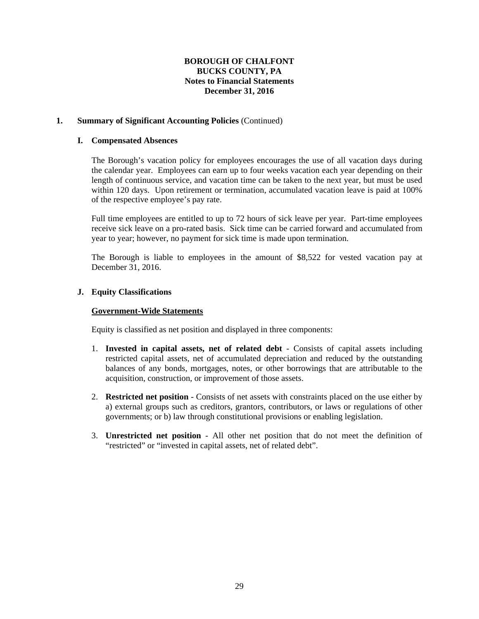# **1. Summary of Significant Accounting Policies** (Continued)

#### **I. Compensated Absences**

The Borough's vacation policy for employees encourages the use of all vacation days during the calendar year. Employees can earn up to four weeks vacation each year depending on their length of continuous service, and vacation time can be taken to the next year, but must be used within 120 days. Upon retirement or termination, accumulated vacation leave is paid at 100% of the respective employee's pay rate.

Full time employees are entitled to up to 72 hours of sick leave per year. Part-time employees receive sick leave on a pro-rated basis. Sick time can be carried forward and accumulated from year to year; however, no payment for sick time is made upon termination.

The Borough is liable to employees in the amount of \$8,522 for vested vacation pay at December 31, 2016.

# **J. Equity Classifications**

#### **Government-Wide Statements**

Equity is classified as net position and displayed in three components:

- 1. **Invested in capital assets, net of related debt** Consists of capital assets including restricted capital assets, net of accumulated depreciation and reduced by the outstanding balances of any bonds, mortgages, notes, or other borrowings that are attributable to the acquisition, construction, or improvement of those assets.
- 2. **Restricted net position** Consists of net assets with constraints placed on the use either by a) external groups such as creditors, grantors, contributors, or laws or regulations of other governments; or b) law through constitutional provisions or enabling legislation.
- 3. **Unrestricted net position** All other net position that do not meet the definition of "restricted" or "invested in capital assets, net of related debt".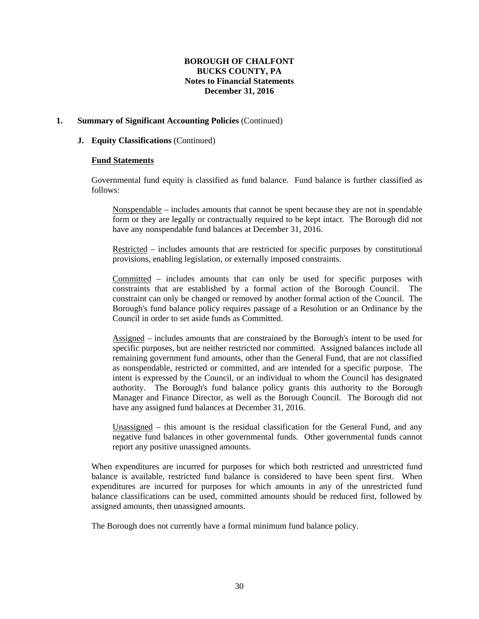# **1. Summary of Significant Accounting Policies** (Continued)

### **J. Equity Classifications** (Continued)

### **Fund Statements**

Governmental fund equity is classified as fund balance. Fund balance is further classified as follows:

Nonspendable – includes amounts that cannot be spent because they are not in spendable form or they are legally or contractually required to be kept intact. The Borough did not have any nonspendable fund balances at December 31, 2016.

Restricted – includes amounts that are restricted for specific purposes by constitutional provisions, enabling legislation, or externally imposed constraints.

Committed – includes amounts that can only be used for specific purposes with constraints that are established by a formal action of the Borough Council. The constraint can only be changed or removed by another formal action of the Council. The Borough's fund balance policy requires passage of a Resolution or an Ordinance by the Council in order to set aside funds as Committed.

Assigned – includes amounts that are constrained by the Borough's intent to be used for specific purposes, but are neither restricted nor committed. Assigned balances include all remaining government fund amounts, other than the General Fund, that are not classified as nonspendable, restricted or committed, and are intended for a specific purpose. The intent is expressed by the Council, or an individual to whom the Council has designated authority. The Borough's fund balance policy grants this authority to the Borough Manager and Finance Director, as well as the Borough Council. The Borough did not have any assigned fund balances at December 31, 2016.

Unassigned – this amount is the residual classification for the General Fund, and any negative fund balances in other governmental funds. Other governmental funds cannot report any positive unassigned amounts.

When expenditures are incurred for purposes for which both restricted and unrestricted fund balance is available, restricted fund balance is considered to have been spent first. When expenditures are incurred for purposes for which amounts in any of the unrestricted fund balance classifications can be used, committed amounts should be reduced first, followed by assigned amounts, then unassigned amounts.

The Borough does not currently have a formal minimum fund balance policy.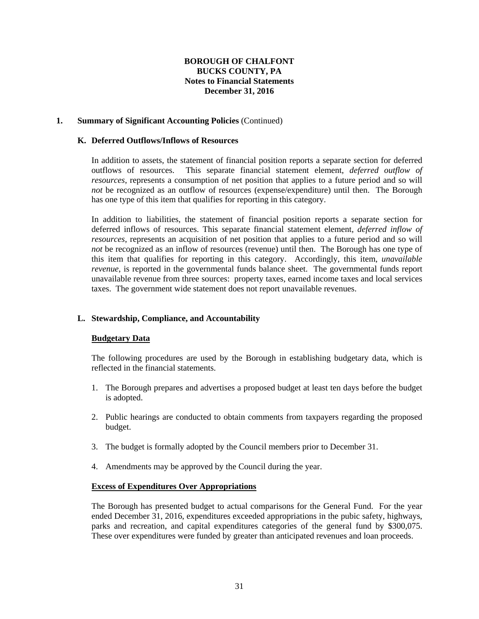## **1. Summary of Significant Accounting Policies** (Continued)

#### **K. Deferred Outflows/Inflows of Resources**

 In addition to assets, the statement of financial position reports a separate section for deferred outflows of resources. This separate financial statement element, *deferred outflow of resources*, represents a consumption of net position that applies to a future period and so will *not* be recognized as an outflow of resources (expense/expenditure) until then. The Borough has one type of this item that qualifies for reporting in this category.

 In addition to liabilities, the statement of financial position reports a separate section for deferred inflows of resources. This separate financial statement element, *deferred inflow of resources*, represents an acquisition of net position that applies to a future period and so will *not* be recognized as an inflow of resources (revenue) until then. The Borough has one type of this item that qualifies for reporting in this category. Accordingly, this item, *unavailable revenue*, is reported in the governmental funds balance sheet. The governmental funds report unavailable revenue from three sources: property taxes, earned income taxes and local services taxes. The government wide statement does not report unavailable revenues.

# **L. Stewardship, Compliance, and Accountability**

# **Budgetary Data**

The following procedures are used by the Borough in establishing budgetary data, which is reflected in the financial statements.

- 1. The Borough prepares and advertises a proposed budget at least ten days before the budget is adopted.
- 2. Public hearings are conducted to obtain comments from taxpayers regarding the proposed budget.
- 3. The budget is formally adopted by the Council members prior to December 31.
- 4. Amendments may be approved by the Council during the year.

#### **Excess of Expenditures Over Appropriations**

 The Borough has presented budget to actual comparisons for the General Fund. For the year ended December 31, 2016, expenditures exceeded appropriations in the pubic safety, highways, parks and recreation, and capital expenditures categories of the general fund by \$300,075. These over expenditures were funded by greater than anticipated revenues and loan proceeds.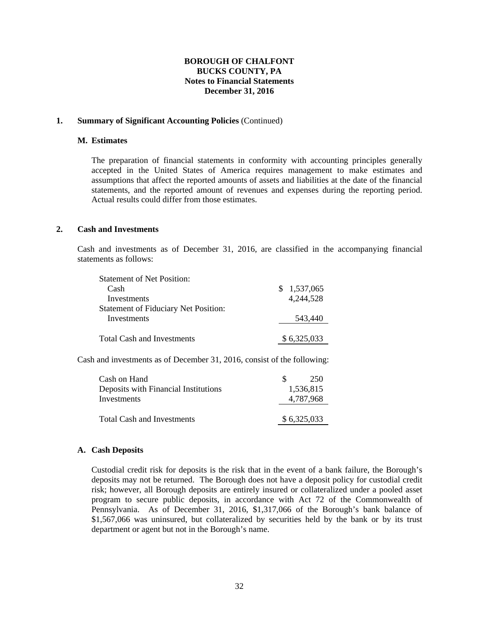### **1. Summary of Significant Accounting Policies** (Continued)

#### **M. Estimates**

 The preparation of financial statements in conformity with accounting principles generally accepted in the United States of America requires management to make estimates and assumptions that affect the reported amounts of assets and liabilities at the date of the financial statements, and the reported amount of revenues and expenses during the reporting period. Actual results could differ from those estimates.

### **2. Cash and Investments**

Cash and investments as of December 31, 2016, are classified in the accompanying financial statements as follows:

| <b>Statement of Net Position:</b>           |             |
|---------------------------------------------|-------------|
| Cash                                        | \$1,537,065 |
| Investments                                 | 4,244,528   |
| <b>Statement of Fiduciary Net Position:</b> |             |
| Investments                                 | 543,440     |
|                                             |             |
| <b>Total Cash and Investments</b>           | \$6,325,033 |

Cash and investments as of December 31, 2016, consist of the following:

| Cash on Hand                         | -SS         | 250 |
|--------------------------------------|-------------|-----|
| Deposits with Financial Institutions | 1,536,815   |     |
| Investments                          | 4,787,968   |     |
|                                      |             |     |
| Total Cash and Investments           | \$6,325,033 |     |

# **A. Cash Deposits**

Custodial credit risk for deposits is the risk that in the event of a bank failure, the Borough's deposits may not be returned. The Borough does not have a deposit policy for custodial credit risk; however, all Borough deposits are entirely insured or collateralized under a pooled asset program to secure public deposits, in accordance with Act 72 of the Commonwealth of Pennsylvania. As of December 31, 2016, \$1,317,066 of the Borough's bank balance of \$1,567,066 was uninsured, but collateralized by securities held by the bank or by its trust department or agent but not in the Borough's name.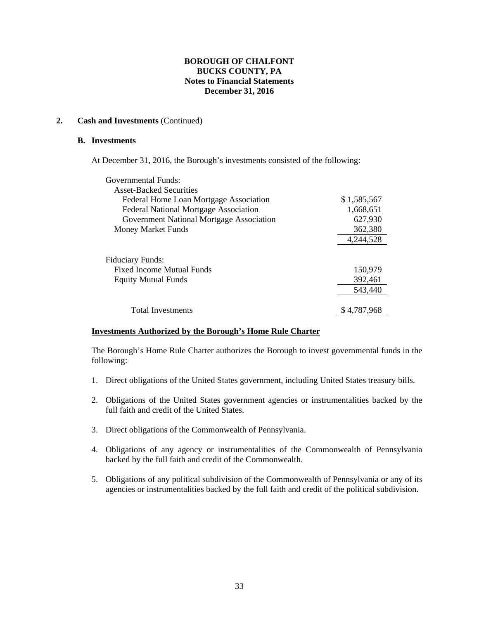# **2. Cash and Investments** (Continued)

#### **B. Investments**

At December 31, 2016, the Borough's investments consisted of the following:

| <b>Governmental Funds:</b>                   |              |
|----------------------------------------------|--------------|
| <b>Asset-Backed Securities</b>               |              |
| Federal Home Loan Mortgage Association       | \$1,585,567  |
| <b>Federal National Mortgage Association</b> | 1,668,651    |
| Government National Mortgage Association     | 627,930      |
| <b>Money Market Funds</b>                    | 362,380      |
|                                              | 4,244,528    |
| Fiduciary Funds:                             |              |
| <b>Fixed Income Mutual Funds</b>             | 150,979      |
| <b>Equity Mutual Funds</b>                   | 392,461      |
|                                              | 543,440      |
|                                              |              |
| <b>Total Investments</b>                     | \$ 4.787.968 |

#### **Investments Authorized by the Borough's Home Rule Charter**

The Borough's Home Rule Charter authorizes the Borough to invest governmental funds in the following:

- 1. Direct obligations of the United States government, including United States treasury bills.
- 2. Obligations of the United States government agencies or instrumentalities backed by the full faith and credit of the United States.
- 3. Direct obligations of the Commonwealth of Pennsylvania.
- 4. Obligations of any agency or instrumentalities of the Commonwealth of Pennsylvania backed by the full faith and credit of the Commonwealth.
- 5. Obligations of any political subdivision of the Commonwealth of Pennsylvania or any of its agencies or instrumentalities backed by the full faith and credit of the political subdivision.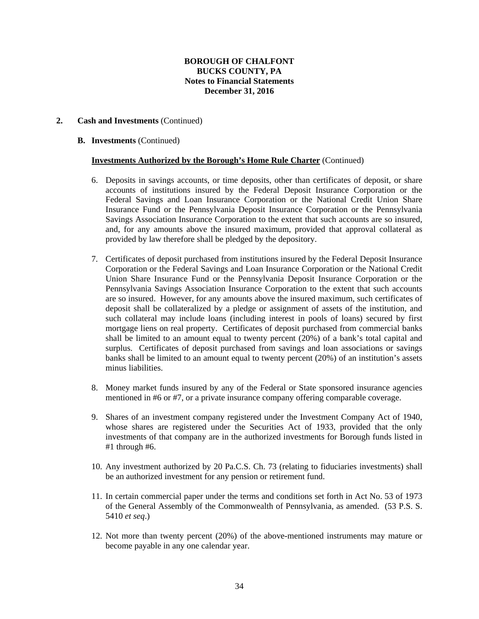# **2. Cash and Investments** (Continued)

**B. Investments** (Continued)

#### **Investments Authorized by the Borough's Home Rule Charter** (Continued)

- 6. Deposits in savings accounts, or time deposits, other than certificates of deposit, or share accounts of institutions insured by the Federal Deposit Insurance Corporation or the Federal Savings and Loan Insurance Corporation or the National Credit Union Share Insurance Fund or the Pennsylvania Deposit Insurance Corporation or the Pennsylvania Savings Association Insurance Corporation to the extent that such accounts are so insured, and, for any amounts above the insured maximum, provided that approval collateral as provided by law therefore shall be pledged by the depository.
- 7. Certificates of deposit purchased from institutions insured by the Federal Deposit Insurance Corporation or the Federal Savings and Loan Insurance Corporation or the National Credit Union Share Insurance Fund or the Pennsylvania Deposit Insurance Corporation or the Pennsylvania Savings Association Insurance Corporation to the extent that such accounts are so insured. However, for any amounts above the insured maximum, such certificates of deposit shall be collateralized by a pledge or assignment of assets of the institution, and such collateral may include loans (including interest in pools of loans) secured by first mortgage liens on real property. Certificates of deposit purchased from commercial banks shall be limited to an amount equal to twenty percent (20%) of a bank's total capital and surplus. Certificates of deposit purchased from savings and loan associations or savings banks shall be limited to an amount equal to twenty percent (20%) of an institution's assets minus liabilities.
- 8. Money market funds insured by any of the Federal or State sponsored insurance agencies mentioned in #6 or #7, or a private insurance company offering comparable coverage.
- 9. Shares of an investment company registered under the Investment Company Act of 1940, whose shares are registered under the Securities Act of 1933, provided that the only investments of that company are in the authorized investments for Borough funds listed in #1 through #6.
- 10. Any investment authorized by 20 Pa.C.S. Ch. 73 (relating to fiduciaries investments) shall be an authorized investment for any pension or retirement fund.
- 11. In certain commercial paper under the terms and conditions set forth in Act No. 53 of 1973 of the General Assembly of the Commonwealth of Pennsylvania, as amended. (53 P.S. S. 5410 *et seq*.)
- 12. Not more than twenty percent (20%) of the above-mentioned instruments may mature or become payable in any one calendar year.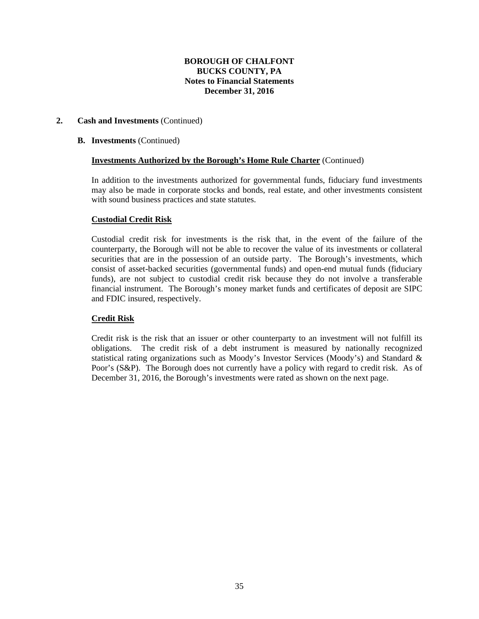# **2. Cash and Investments** (Continued)

## **B. Investments** (Continued)

### **Investments Authorized by the Borough's Home Rule Charter** (Continued)

In addition to the investments authorized for governmental funds, fiduciary fund investments may also be made in corporate stocks and bonds, real estate, and other investments consistent with sound business practices and state statutes.

# **Custodial Credit Risk**

Custodial credit risk for investments is the risk that, in the event of the failure of the counterparty, the Borough will not be able to recover the value of its investments or collateral securities that are in the possession of an outside party. The Borough's investments, which consist of asset-backed securities (governmental funds) and open-end mutual funds (fiduciary funds), are not subject to custodial credit risk because they do not involve a transferable financial instrument. The Borough's money market funds and certificates of deposit are SIPC and FDIC insured, respectively.

# **Credit Risk**

Credit risk is the risk that an issuer or other counterparty to an investment will not fulfill its obligations. The credit risk of a debt instrument is measured by nationally recognized statistical rating organizations such as Moody's Investor Services (Moody's) and Standard & Poor's (S&P). The Borough does not currently have a policy with regard to credit risk. As of December 31, 2016, the Borough's investments were rated as shown on the next page.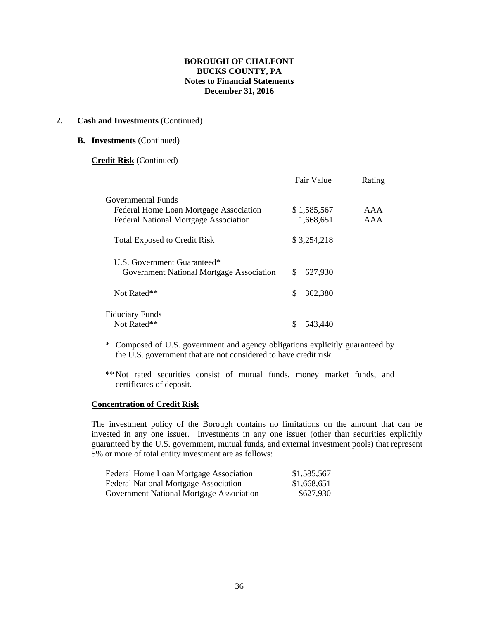### **2. Cash and Investments** (Continued)

#### **B. Investments** (Continued)

### **Credit Risk** (Continued)

|                                              | Fair Value  | Rating |
|----------------------------------------------|-------------|--------|
| Governmental Funds                           |             |        |
| Federal Home Loan Mortgage Association       | \$1,585,567 | AAA    |
| <b>Federal National Mortgage Association</b> | 1,668,651   | AAA    |
| <b>Total Exposed to Credit Risk</b>          | \$3,254,218 |        |
| U.S. Government Guaranteed*                  |             |        |
| Government National Mortgage Association     | 627,930     |        |
| Not Rated**                                  | 362,380     |        |
| <b>Fiduciary Funds</b>                       |             |        |
| Not Rated**                                  | 543.440     |        |

- \* Composed of U.S. government and agency obligations explicitly guaranteed by the U.S. government that are not considered to have credit risk.
- \*\* Not rated securities consist of mutual funds, money market funds, and certificates of deposit.

#### **Concentration of Credit Risk**

The investment policy of the Borough contains no limitations on the amount that can be invested in any one issuer. Investments in any one issuer (other than securities explicitly guaranteed by the U.S. government, mutual funds, and external investment pools) that represent 5% or more of total entity investment are as follows:

| <b>Federal Home Loan Mortgage Association</b>   | \$1,585,567 |
|-------------------------------------------------|-------------|
| <b>Federal National Mortgage Association</b>    | \$1,668,651 |
| <b>Government National Mortgage Association</b> | \$627,930   |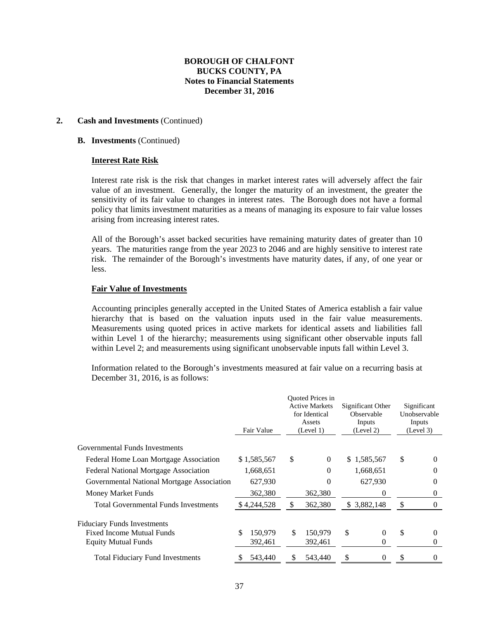## **2. Cash and Investments** (Continued)

#### **B. Investments** (Continued)

### **Interest Rate Risk**

Interest rate risk is the risk that changes in market interest rates will adversely affect the fair value of an investment. Generally, the longer the maturity of an investment, the greater the sensitivity of its fair value to changes in interest rates. The Borough does not have a formal policy that limits investment maturities as a means of managing its exposure to fair value losses arising from increasing interest rates.

All of the Borough's asset backed securities have remaining maturity dates of greater than 10 years. The maturities range from the year 2023 to 2046 and are highly sensitive to interest rate risk. The remainder of the Borough's investments have maturity dates, if any, of one year or less.

### **Fair Value of Investments**

Accounting principles generally accepted in the United States of America establish a fair value hierarchy that is based on the valuation inputs used in the fair value measurements. Measurements using quoted prices in active markets for identical assets and liabilities fall within Level 1 of the hierarchy; measurements using significant other observable inputs fall within Level 2; and measurements using significant unobservable inputs fall within Level 3.

Information related to the Borough's investments measured at fair value on a recurring basis at December 31, 2016, is as follows:

|                                              | Fair Value    |    | Quoted Prices in<br><b>Active Markets</b><br>for Identical<br>Assets<br>(Level 1) | Significant Other<br>Observable<br>Inputs<br>(Level 2) | Significant<br>Unobservable<br>Inputs<br>(Level 3) |
|----------------------------------------------|---------------|----|-----------------------------------------------------------------------------------|--------------------------------------------------------|----------------------------------------------------|
| Governmental Funds Investments               |               |    |                                                                                   |                                                        |                                                    |
| Federal Home Loan Mortgage Association       | \$1,585,567   | \$ | $\theta$                                                                          | \$1,585,567                                            | \$<br>$\Omega$                                     |
| <b>Federal National Mortgage Association</b> | 1,668,651     |    | 0                                                                                 | 1,668,651                                              | 0                                                  |
| Governmental National Mortgage Association   | 627,930       |    | 0                                                                                 | 627,930                                                | 0                                                  |
| <b>Money Market Funds</b>                    | 362,380       |    | 362,380                                                                           | $\Omega$                                               | 0                                                  |
| <b>Total Governmental Funds Investments</b>  | \$4,244,528   | S  | 362,380                                                                           | \$3,882,148                                            | \$<br>$\theta$                                     |
| <b>Fiduciary Funds Investments</b>           |               |    |                                                                                   |                                                        |                                                    |
| Fixed Income Mutual Funds                    | \$<br>150,979 | \$ | 150.979                                                                           | \$<br>$\theta$                                         | \$<br>0                                            |
| <b>Equity Mutual Funds</b>                   | 392,461       |    | 392,461                                                                           | $\theta$                                               | 0                                                  |
| <b>Total Fiduciary Fund Investments</b>      | 543,440       | \$ | 543,440                                                                           | \$<br>$\theta$                                         | 0                                                  |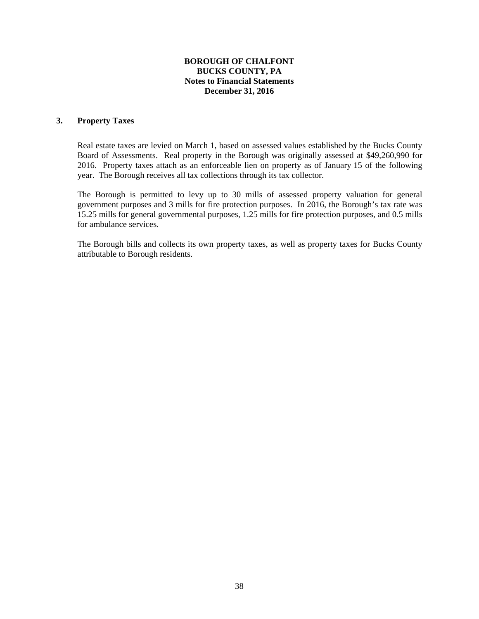### **3. Property Taxes**

Real estate taxes are levied on March 1, based on assessed values established by the Bucks County Board of Assessments. Real property in the Borough was originally assessed at \$49,260,990 for 2016. Property taxes attach as an enforceable lien on property as of January 15 of the following year. The Borough receives all tax collections through its tax collector.

The Borough is permitted to levy up to 30 mills of assessed property valuation for general government purposes and 3 mills for fire protection purposes. In 2016, the Borough's tax rate was 15.25 mills for general governmental purposes, 1.25 mills for fire protection purposes, and 0.5 mills for ambulance services.

The Borough bills and collects its own property taxes, as well as property taxes for Bucks County attributable to Borough residents.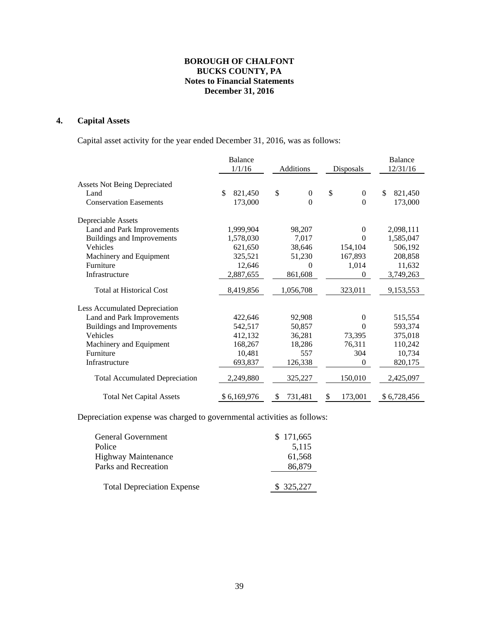# **4. Capital Assets**

Capital asset activity for the year ended December 31, 2016, was as follows:

|                                       | <b>Balance</b> |                        |                    | <b>Balance</b> |
|---------------------------------------|----------------|------------------------|--------------------|----------------|
|                                       | 1/1/16         | Additions              | Disposals          | 12/31/16       |
| <b>Assets Not Being Depreciated</b>   |                |                        |                    |                |
| Land                                  | \$<br>821,450  | \$<br>$\boldsymbol{0}$ | \$<br>$\mathbf{0}$ | \$<br>821,450  |
| <b>Conservation Easements</b>         | 173,000        | $\theta$               | $\Omega$           | 173,000        |
| Depreciable Assets                    |                |                        |                    |                |
| Land and Park Improvements            | 1,999,904      | 98,207                 | $\Omega$           | 2,098,111      |
| Buildings and Improvements            | 1,578,030      | 7,017                  | $\Omega$           | 1,585,047      |
| Vehicles                              | 621,650        | 38,646                 | 154,104            | 506,192        |
| Machinery and Equipment               | 325,521        | 51,230                 | 167,893            | 208,858        |
| Furniture                             | 12,646         | 0                      | 1,014              | 11,632         |
| Infrastructure                        | 2,887,655      | 861,608                | $\mathbf{0}$       | 3,749,263      |
| <b>Total at Historical Cost</b>       | 8,419,856      | 1,056,708              | 323,011            | 9,153,553      |
| Less Accumulated Depreciation         |                |                        |                    |                |
| Land and Park Improvements            | 422,646        | 92,908                 | $\Omega$           | 515,554        |
| <b>Buildings and Improvements</b>     | 542,517        | 50,857                 | $\Omega$           | 593.374        |
| Vehicles                              | 412,132        | 36,281                 | 73,395             | 375,018        |
| Machinery and Equipment               | 168,267        | 18,286                 | 76,311             | 110,242        |
| Furniture                             | 10,481         | 557                    | 304                | 10,734         |
| Infrastructure                        | 693,837        | 126,338                | $\Omega$           | 820,175        |
| <b>Total Accumulated Depreciation</b> | 2,249,880      | 325,227                | 150,010            | 2,425,097      |
| <b>Total Net Capital Assets</b>       | \$6,169,976    | 731,481<br>S           | \$<br>173,001      | \$6,728,456    |

Depreciation expense was charged to governmental activities as follows:

| General Government                | \$171,665 |
|-----------------------------------|-----------|
| Police                            | 5,115     |
| Highway Maintenance               | 61,568    |
| <b>Parks and Recreation</b>       | 86,879    |
| <b>Total Depreciation Expense</b> | \$325,227 |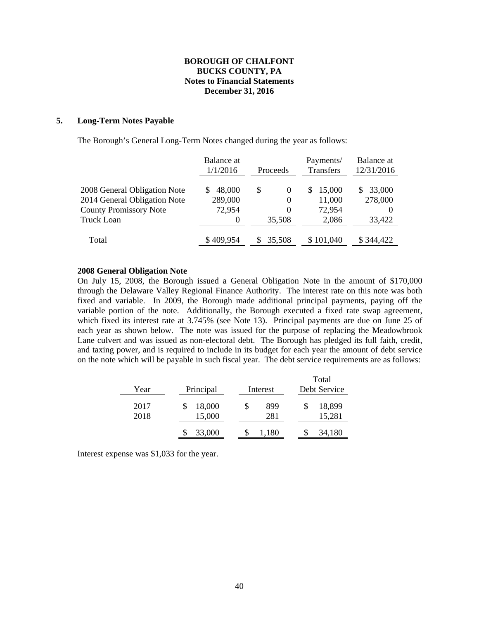### **5. Long-Term Notes Payable**

The Borough's General Long-Term Notes changed during the year as follows:

|                                                                                                                    | Balance at<br>1/1/2016      | Proceeds                                         | Payments/<br>Transfers                    | Balance at<br>12/31/2016                  |
|--------------------------------------------------------------------------------------------------------------------|-----------------------------|--------------------------------------------------|-------------------------------------------|-------------------------------------------|
| 2008 General Obligation Note<br>2014 General Obligation Note<br><b>County Promissory Note</b><br><b>Truck Loan</b> | 48,000<br>289,000<br>72,954 | \$<br>$\theta$<br>$\theta$<br>$\theta$<br>35,508 | 15,000<br>S.<br>11,000<br>72,954<br>2,086 | \$33,000<br>278,000<br>$\theta$<br>33,422 |
| Total                                                                                                              | \$409,954                   | 35,508                                           | \$101,040                                 | \$344,422                                 |

#### **2008 General Obligation Note**

On July 15, 2008, the Borough issued a General Obligation Note in the amount of \$170,000 through the Delaware Valley Regional Finance Authority. The interest rate on this note was both fixed and variable. In 2009, the Borough made additional principal payments, paying off the variable portion of the note. Additionally, the Borough executed a fixed rate swap agreement, which fixed its interest rate at 3.745% (see Note 13). Principal payments are due on June 25 of each year as shown below. The note was issued for the purpose of replacing the Meadowbrook Lane culvert and was issued as non-electoral debt. The Borough has pledged its full faith, credit, and taxing power, and is required to include in its budget for each year the amount of debt service on the note which will be payable in such fiscal year. The debt service requirements are as follows:

| Year         | Principal        | Interest         | Total<br>Debt Service |
|--------------|------------------|------------------|-----------------------|
| 2017<br>2018 | 18,000<br>15,000 | 899<br>\$<br>281 | 18,899<br>15,281      |
|              | 33,000           | 1,180            | 34,180<br>S           |

Interest expense was \$1,033 for the year.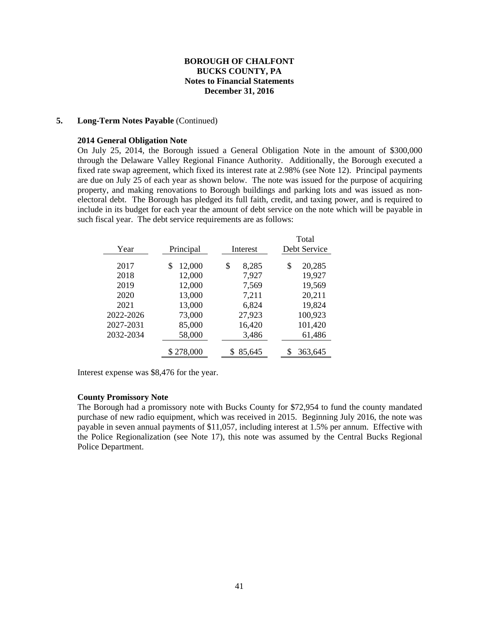# **5. Long-Term Notes Payable** (Continued)

#### **2014 General Obligation Note**

On July 25, 2014, the Borough issued a General Obligation Note in the amount of \$300,000 through the Delaware Valley Regional Finance Authority. Additionally, the Borough executed a fixed rate swap agreement, which fixed its interest rate at 2.98% (see Note 12). Principal payments are due on July 25 of each year as shown below. The note was issued for the purpose of acquiring property, and making renovations to Borough buildings and parking lots and was issued as nonelectoral debt. The Borough has pledged its full faith, credit, and taxing power, and is required to include in its budget for each year the amount of debt service on the note which will be payable in such fiscal year. The debt service requirements are as follows:

|           |              |             | Total        |
|-----------|--------------|-------------|--------------|
| Year      | Principal    | Interest    | Debt Service |
|           |              |             |              |
| 2017      | 12,000<br>\$ | \$<br>8,285 | \$<br>20,285 |
| 2018      | 12,000       | 7,927       | 19,927       |
| 2019      | 12,000       | 7,569       | 19,569       |
| 2020      | 13,000       | 7,211       | 20,211       |
| 2021      | 13,000       | 6,824       | 19,824       |
| 2022-2026 | 73,000       | 27,923      | 100,923      |
| 2027-2031 | 85,000       | 16,420      | 101,420      |
| 2032-2034 | 58,000       | 3,486       | 61,486       |
|           |              |             |              |
|           | \$278,000    | 85,645      | 363,645<br>S |

Interest expense was \$8,476 for the year.

#### **County Promissory Note**

The Borough had a promissory note with Bucks County for \$72,954 to fund the county mandated purchase of new radio equipment, which was received in 2015. Beginning July 2016, the note was payable in seven annual payments of \$11,057, including interest at 1.5% per annum. Effective with the Police Regionalization (see Note 17), this note was assumed by the Central Bucks Regional Police Department.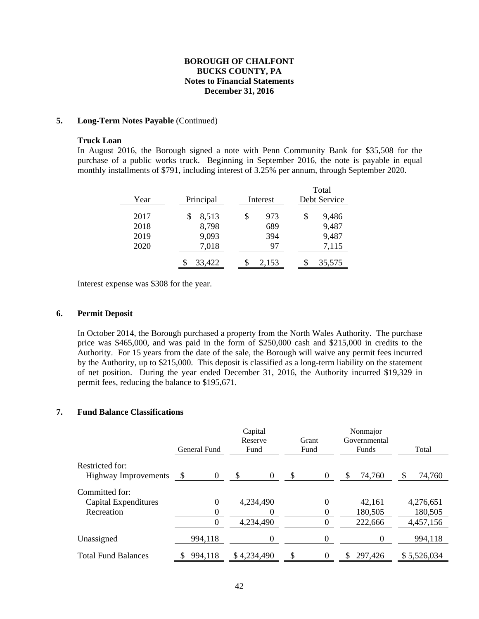## **5. Long-Term Notes Payable** (Continued)

#### **Truck Loan**

In August 2016, the Borough signed a note with Penn Community Bank for \$35,508 for the purchase of a public works truck. Beginning in September 2016, the note is payable in equal monthly installments of \$791, including interest of 3.25% per annum, through September 2020.

| Year | Principal | Interest  | Total<br>Debt Service |
|------|-----------|-----------|-----------------------|
| 2017 | 8.513     | \$<br>973 | \$<br>9,486           |
| 2018 | 8,798     | 689       | 9,487                 |
| 2019 | 9,093     | 394       | 9,487                 |
| 2020 | 7,018     | 97        | 7,115                 |
|      | 33,422    | 2,153     | 35,575                |

Interest expense was \$308 for the year.

#### **6. Permit Deposit**

In October 2014, the Borough purchased a property from the North Wales Authority. The purchase price was \$465,000, and was paid in the form of \$250,000 cash and \$215,000 in credits to the Authority. For 15 years from the date of the sale, the Borough will waive any permit fees incurred by the Authority, up to \$215,000. This deposit is classified as a long-term liability on the statement of net position. During the year ended December 31, 2016, the Authority incurred \$19,329 in permit fees, reducing the balance to \$195,671.

### **7. Fund Balance Classifications**

|                             |                   | Capital<br>Reserve |                  | Grant                  | Nonmajor<br>Governmental |              |
|-----------------------------|-------------------|--------------------|------------------|------------------------|--------------------------|--------------|
|                             | General Fund      | Fund               |                  | Fund                   | Funds                    | Total        |
| Restricted for:             |                   |                    |                  |                        |                          |              |
| <b>Highway Improvements</b> | S<br>$\mathbf{0}$ | \$                 | $\boldsymbol{0}$ | \$<br>$\overline{0}$   | \$<br>74,760             | \$<br>74,760 |
| Committed for:              |                   |                    |                  |                        |                          |              |
| Capital Expenditures        | 0                 | 4,234,490          |                  | 0                      | 42,161                   | 4,276,651    |
| Recreation                  | 0                 |                    |                  | 0                      | 180,505                  | 180,505      |
|                             | $\theta$          | 4,234,490          |                  | 0                      | 222,666                  | 4,457,156    |
| Unassigned                  | 994,118           |                    | $\mathbf{0}$     | $\overline{0}$         | 0                        | 994,118      |
| <b>Total Fund Balances</b>  | 994,118           | \$4,234,490        |                  | \$<br>$\boldsymbol{0}$ | \$<br>297,426            | \$5,526,034  |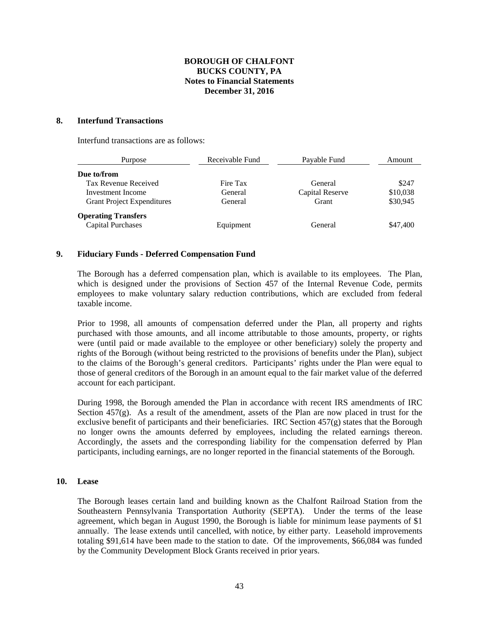#### **8. Interfund Transactions**

Interfund transactions are as follows:

| Purpose                           | Receivable Fund |                 | Amount   |
|-----------------------------------|-----------------|-----------------|----------|
| Due to/from                       |                 |                 |          |
| Tax Revenue Received              | Fire Tax        | General         | \$247    |
| Investment Income                 | General         | Capital Reserve | \$10,038 |
| <b>Grant Project Expenditures</b> | General         | Grant           | \$30,945 |
| <b>Operating Transfers</b>        |                 |                 |          |
| <b>Capital Purchases</b>          | Equipment       | General         | \$47,400 |

# **9. Fiduciary Funds - Deferred Compensation Fund**

 The Borough has a deferred compensation plan, which is available to its employees. The Plan, which is designed under the provisions of Section 457 of the Internal Revenue Code, permits employees to make voluntary salary reduction contributions, which are excluded from federal taxable income.

 Prior to 1998, all amounts of compensation deferred under the Plan, all property and rights purchased with those amounts, and all income attributable to those amounts, property, or rights were (until paid or made available to the employee or other beneficiary) solely the property and rights of the Borough (without being restricted to the provisions of benefits under the Plan), subject to the claims of the Borough's general creditors. Participants' rights under the Plan were equal to those of general creditors of the Borough in an amount equal to the fair market value of the deferred account for each participant.

 During 1998, the Borough amended the Plan in accordance with recent IRS amendments of IRC Section  $457(g)$ . As a result of the amendment, assets of the Plan are now placed in trust for the exclusive benefit of participants and their beneficiaries. IRC Section  $457(g)$  states that the Borough no longer owns the amounts deferred by employees, including the related earnings thereon. Accordingly, the assets and the corresponding liability for the compensation deferred by Plan participants, including earnings, are no longer reported in the financial statements of the Borough.

# **10. Lease**

 The Borough leases certain land and building known as the Chalfont Railroad Station from the Southeastern Pennsylvania Transportation Authority (SEPTA). Under the terms of the lease agreement, which began in August 1990, the Borough is liable for minimum lease payments of \$1 annually. The lease extends until cancelled, with notice, by either party. Leasehold improvements totaling \$91,614 have been made to the station to date. Of the improvements, \$66,084 was funded by the Community Development Block Grants received in prior years.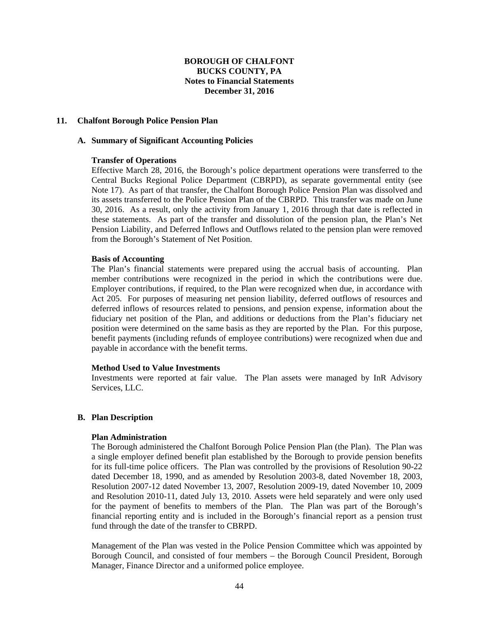## **11. Chalfont Borough Police Pension Plan**

#### **A. Summary of Significant Accounting Policies**

### **Transfer of Operations**

Effective March 28, 2016, the Borough's police department operations were transferred to the Central Bucks Regional Police Department (CBRPD), as separate governmental entity (see Note 17). As part of that transfer, the Chalfont Borough Police Pension Plan was dissolved and its assets transferred to the Police Pension Plan of the CBRPD. This transfer was made on June 30, 2016. As a result, only the activity from January 1, 2016 through that date is reflected in these statements. As part of the transfer and dissolution of the pension plan, the Plan's Net Pension Liability, and Deferred Inflows and Outflows related to the pension plan were removed from the Borough's Statement of Net Position.

### **Basis of Accounting**

 The Plan's financial statements were prepared using the accrual basis of accounting. Plan member contributions were recognized in the period in which the contributions were due. Employer contributions, if required, to the Plan were recognized when due, in accordance with Act 205. For purposes of measuring net pension liability, deferred outflows of resources and deferred inflows of resources related to pensions, and pension expense, information about the fiduciary net position of the Plan, and additions or deductions from the Plan's fiduciary net position were determined on the same basis as they are reported by the Plan. For this purpose, benefit payments (including refunds of employee contributions) were recognized when due and payable in accordance with the benefit terms.

#### **Method Used to Value Investments**

Investments were reported at fair value. The Plan assets were managed by InR Advisory Services, LLC.

# **B. Plan Description**

# **Plan Administration**

 The Borough administered the Chalfont Borough Police Pension Plan (the Plan). The Plan was a single employer defined benefit plan established by the Borough to provide pension benefits for its full-time police officers. The Plan was controlled by the provisions of Resolution 90-22 dated December 18, 1990, and as amended by Resolution 2003-8, dated November 18, 2003, Resolution 2007-12 dated November 13, 2007, Resolution 2009-19, dated November 10, 2009 and Resolution 2010-11, dated July 13, 2010. Assets were held separately and were only used for the payment of benefits to members of the Plan. The Plan was part of the Borough's financial reporting entity and is included in the Borough's financial report as a pension trust fund through the date of the transfer to CBRPD.

 Management of the Plan was vested in the Police Pension Committee which was appointed by Borough Council, and consisted of four members – the Borough Council President, Borough Manager, Finance Director and a uniformed police employee.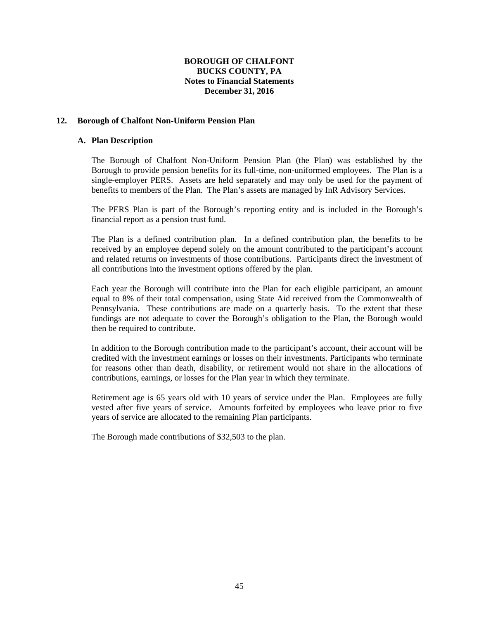# **12. Borough of Chalfont Non-Uniform Pension Plan**

#### **A. Plan Description**

 The Borough of Chalfont Non-Uniform Pension Plan (the Plan) was established by the Borough to provide pension benefits for its full-time, non-uniformed employees. The Plan is a single-employer PERS. Assets are held separately and may only be used for the payment of benefits to members of the Plan. The Plan's assets are managed by InR Advisory Services.

The PERS Plan is part of the Borough's reporting entity and is included in the Borough's financial report as a pension trust fund.

The Plan is a defined contribution plan. In a defined contribution plan, the benefits to be received by an employee depend solely on the amount contributed to the participant's account and related returns on investments of those contributions. Participants direct the investment of all contributions into the investment options offered by the plan.

Each year the Borough will contribute into the Plan for each eligible participant, an amount equal to 8% of their total compensation, using State Aid received from the Commonwealth of Pennsylvania. These contributions are made on a quarterly basis. To the extent that these fundings are not adequate to cover the Borough's obligation to the Plan, the Borough would then be required to contribute.

In addition to the Borough contribution made to the participant's account, their account will be credited with the investment earnings or losses on their investments. Participants who terminate for reasons other than death, disability, or retirement would not share in the allocations of contributions, earnings, or losses for the Plan year in which they terminate.

Retirement age is 65 years old with 10 years of service under the Plan. Employees are fully vested after five years of service. Amounts forfeited by employees who leave prior to five years of service are allocated to the remaining Plan participants.

The Borough made contributions of \$32,503 to the plan.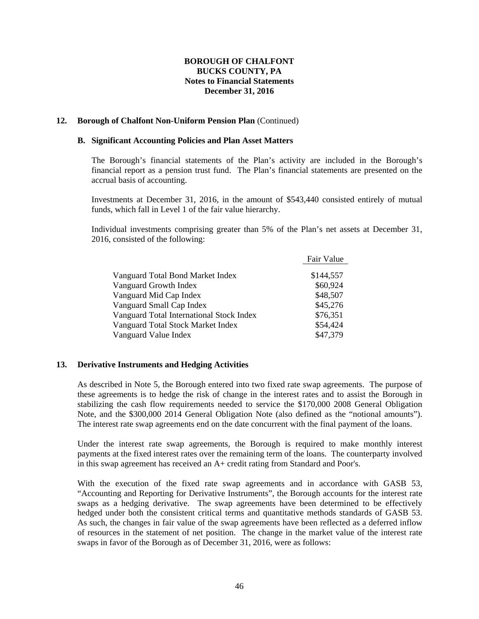### **12. Borough of Chalfont Non-Uniform Pension Plan** (Continued)

#### **B. Significant Accounting Policies and Plan Asset Matters**

 The Borough's financial statements of the Plan's activity are included in the Borough's financial report as a pension trust fund. The Plan's financial statements are presented on the accrual basis of accounting.

 Investments at December 31, 2016, in the amount of \$543,440 consisted entirely of mutual funds, which fall in Level 1 of the fair value hierarchy.

 Individual investments comprising greater than 5% of the Plan's net assets at December 31, 2016, consisted of the following:

|                                          | Fair Value |
|------------------------------------------|------------|
| Vanguard Total Bond Market Index         | \$144,557  |
| Vanguard Growth Index                    | \$60,924   |
| Vanguard Mid Cap Index                   | \$48,507   |
| Vanguard Small Cap Index                 | \$45,276   |
| Vanguard Total International Stock Index | \$76,351   |
| Vanguard Total Stock Market Index        | \$54,424   |
| Vanguard Value Index                     | \$47,379   |

# **13. Derivative Instruments and Hedging Activities**

As described in Note 5, the Borough entered into two fixed rate swap agreements. The purpose of these agreements is to hedge the risk of change in the interest rates and to assist the Borough in stabilizing the cash flow requirements needed to service the \$170,000 2008 General Obligation Note, and the \$300,000 2014 General Obligation Note (also defined as the "notional amounts"). The interest rate swap agreements end on the date concurrent with the final payment of the loans.

Under the interest rate swap agreements, the Borough is required to make monthly interest payments at the fixed interest rates over the remaining term of the loans. The counterparty involved in this swap agreement has received an A+ credit rating from Standard and Poor's.

With the execution of the fixed rate swap agreements and in accordance with GASB 53, "Accounting and Reporting for Derivative Instruments", the Borough accounts for the interest rate swaps as a hedging derivative. The swap agreements have been determined to be effectively hedged under both the consistent critical terms and quantitative methods standards of GASB 53. As such, the changes in fair value of the swap agreements have been reflected as a deferred inflow of resources in the statement of net position. The change in the market value of the interest rate swaps in favor of the Borough as of December 31, 2016, were as follows: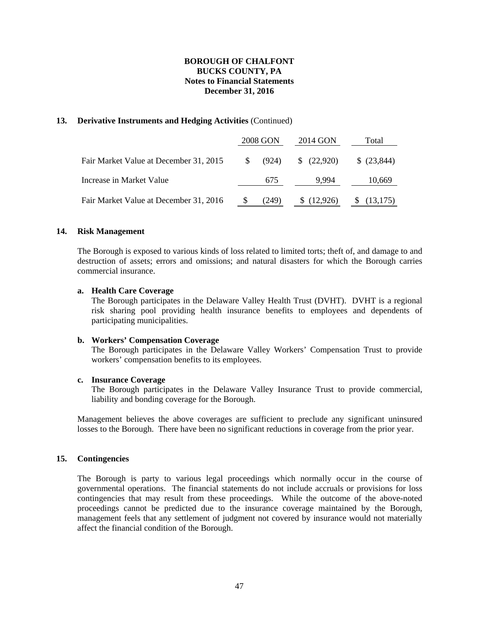# **13. Derivative Instruments and Hedging Activities** (Continued)

|                                        |     | 2008 GON | 2014 GON | Total       |
|----------------------------------------|-----|----------|----------|-------------|
| Fair Market Value at December 31, 2015 | \$. | (924)    | (22,920) | \$ (23,844) |
| Increase in Market Value               |     | 675      | 9.994    | 10,669      |
| Fair Market Value at December 31, 2016 |     | (249)    | (12,926) | (13, 175)   |

## **14. Risk Management**

The Borough is exposed to various kinds of loss related to limited torts; theft of, and damage to and destruction of assets; errors and omissions; and natural disasters for which the Borough carries commercial insurance.

#### **a. Health Care Coverage**

The Borough participates in the Delaware Valley Health Trust (DVHT). DVHT is a regional risk sharing pool providing health insurance benefits to employees and dependents of participating municipalities.

#### **b. Workers' Compensation Coverage**

The Borough participates in the Delaware Valley Workers' Compensation Trust to provide workers' compensation benefits to its employees.

#### **c. Insurance Coverage**

The Borough participates in the Delaware Valley Insurance Trust to provide commercial, liability and bonding coverage for the Borough.

Management believes the above coverages are sufficient to preclude any significant uninsured losses to the Borough. There have been no significant reductions in coverage from the prior year.

#### **15. Contingencies**

The Borough is party to various legal proceedings which normally occur in the course of governmental operations. The financial statements do not include accruals or provisions for loss contingencies that may result from these proceedings. While the outcome of the above-noted proceedings cannot be predicted due to the insurance coverage maintained by the Borough, management feels that any settlement of judgment not covered by insurance would not materially affect the financial condition of the Borough.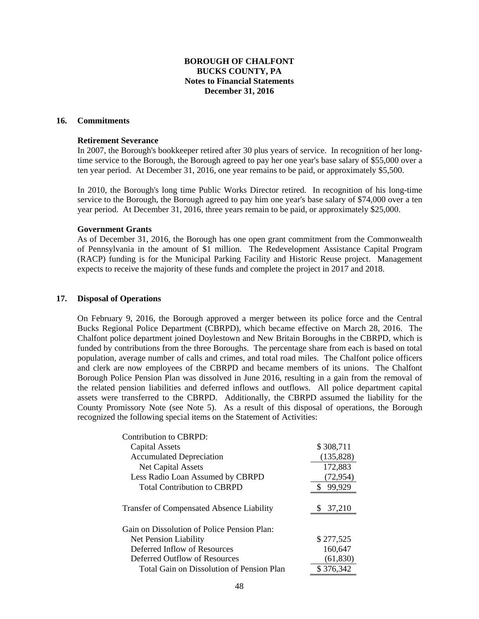#### **16. Commitments**

#### **Retirement Severance**

In 2007, the Borough's bookkeeper retired after 30 plus years of service. In recognition of her longtime service to the Borough, the Borough agreed to pay her one year's base salary of \$55,000 over a ten year period. At December 31, 2016, one year remains to be paid, or approximately \$5,500.

In 2010, the Borough's long time Public Works Director retired. In recognition of his long-time service to the Borough, the Borough agreed to pay him one year's base salary of \$74,000 over a ten year period. At December 31, 2016, three years remain to be paid, or approximately \$25,000.

#### **Government Grants**

As of December 31, 2016, the Borough has one open grant commitment from the Commonwealth of Pennsylvania in the amount of \$1 million. The Redevelopment Assistance Capital Program (RACP) funding is for the Municipal Parking Facility and Historic Reuse project. Management expects to receive the majority of these funds and complete the project in 2017 and 2018.

### **17. Disposal of Operations**

On February 9, 2016, the Borough approved a merger between its police force and the Central Bucks Regional Police Department (CBRPD), which became effective on March 28, 2016. The Chalfont police department joined Doylestown and New Britain Boroughs in the CBRPD, which is funded by contributions from the three Boroughs. The percentage share from each is based on total population, average number of calls and crimes, and total road miles. The Chalfont police officers and clerk are now employees of the CBRPD and became members of its unions. The Chalfont Borough Police Pension Plan was dissolved in June 2016, resulting in a gain from the removal of the related pension liabilities and deferred inflows and outflows. All police department capital assets were transferred to the CBRPD. Additionally, the CBRPD assumed the liability for the County Promissory Note (see Note 5). As a result of this disposal of operations, the Borough recognized the following special items on the Statement of Activities:

| Contribution to CBRPD:                           |              |
|--------------------------------------------------|--------------|
| Capital Assets                                   | \$308,711    |
| <b>Accumulated Depreciation</b>                  | (135, 828)   |
| <b>Net Capital Assets</b>                        | 172,883      |
| Less Radio Loan Assumed by CBRPD                 | (72,954)     |
| <b>Total Contribution to CBRPD</b>               | 99,929       |
| <b>Transfer of Compensated Absence Liability</b> | 37,210<br>S. |
| Gain on Dissolution of Police Pension Plan:      |              |
| Net Pension Liability                            | \$277,525    |
| Deferred Inflow of Resources                     | 160,647      |
| Deferred Outflow of Resources                    | (61, 830)    |
| Total Gain on Dissolution of Pension Plan        | \$376,342    |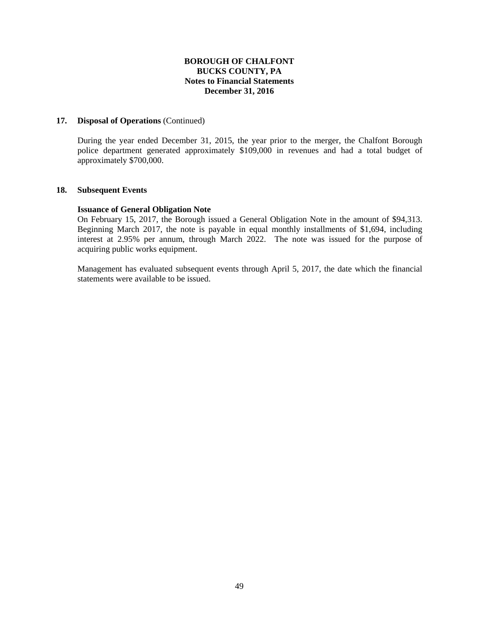### **17. Disposal of Operations** (Continued)

During the year ended December 31, 2015, the year prior to the merger, the Chalfont Borough police department generated approximately \$109,000 in revenues and had a total budget of approximately \$700,000.

### **18. Subsequent Events**

### **Issuance of General Obligation Note**

On February 15, 2017, the Borough issued a General Obligation Note in the amount of \$94,313. Beginning March 2017, the note is payable in equal monthly installments of \$1,694, including interest at 2.95% per annum, through March 2022. The note was issued for the purpose of acquiring public works equipment.

Management has evaluated subsequent events through April 5, 2017, the date which the financial statements were available to be issued.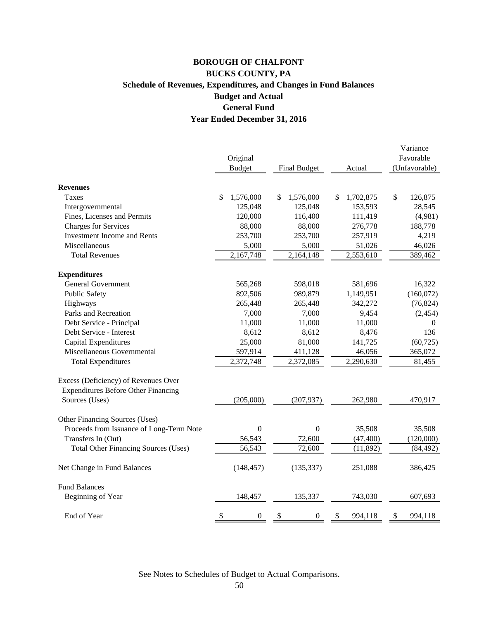# **Year Ended December 31, 2016 BOROUGH OF CHALFONT BUCKS COUNTY, PA Schedule of Revenues, Expenditures, and Changes in Fund Balances Budget and Actual General Fund**

|                                                                                                      |                                               |                        |                 | Variance      |
|------------------------------------------------------------------------------------------------------|-----------------------------------------------|------------------------|-----------------|---------------|
|                                                                                                      | Original                                      |                        |                 | Favorable     |
|                                                                                                      | <b>Budget</b>                                 | <b>Final Budget</b>    | Actual          | (Unfavorable) |
| <b>Revenues</b>                                                                                      |                                               |                        |                 |               |
| Taxes                                                                                                | 1,576,000<br>\$                               | 1,576,000<br>\$        | 1,702,875<br>\$ | \$<br>126,875 |
| Intergovernmental                                                                                    | 125,048                                       | 125,048                | 153,593         | 28,545        |
| Fines, Licenses and Permits                                                                          | 120,000                                       | 116,400                | 111,419         | (4,981)       |
| <b>Charges for Services</b>                                                                          | 88,000                                        | 88,000                 | 276,778         | 188,778       |
| <b>Investment Income and Rents</b>                                                                   | 253,700                                       | 253,700                | 257,919         | 4,219         |
| Miscellaneous                                                                                        | 5,000                                         | 5,000                  | 51,026          | 46,026        |
| <b>Total Revenues</b>                                                                                | 2,167,748                                     | 2,164,148              | 2,553,610       | 389,462       |
| <b>Expenditures</b>                                                                                  |                                               |                        |                 |               |
| <b>General Government</b>                                                                            | 565,268                                       | 598,018                | 581,696         | 16,322        |
| <b>Public Safety</b>                                                                                 | 892,506                                       | 989,879                | 1,149,951       | (160,072)     |
| Highways                                                                                             | 265,448                                       | 265,448                | 342,272         | (76, 824)     |
| Parks and Recreation                                                                                 | 7,000                                         | 7,000                  | 9,454           | (2, 454)      |
| Debt Service - Principal                                                                             | 11,000                                        | 11,000                 | 11,000          | $\theta$      |
| Debt Service - Interest                                                                              | 8,612                                         | 8,612                  | 8,476           | 136           |
| Capital Expenditures                                                                                 | 25,000                                        | 81,000                 | 141,725         | (60, 725)     |
| Miscellaneous Governmental                                                                           | 597,914                                       | 411,128                | 46,056          | 365,072       |
| <b>Total Expenditures</b>                                                                            | 2,372,748                                     | 2,372,085              | 2,290,630       | 81,455        |
| Excess (Deficiency) of Revenues Over<br><b>Expenditures Before Other Financing</b><br>Sources (Uses) | (205,000)                                     | (207, 937)             | 262,980         | 470,917       |
| Other Financing Sources (Uses)                                                                       |                                               |                        |                 |               |
| Proceeds from Issuance of Long-Term Note                                                             | $\boldsymbol{0}$                              | $\boldsymbol{0}$       | 35,508          | 35,508        |
| Transfers In (Out)                                                                                   | 56,543                                        | 72,600                 | (47, 400)       | (120,000)     |
| <b>Total Other Financing Sources (Uses)</b>                                                          | 56,543                                        | 72,600                 | (11, 892)       | (84, 492)     |
| Net Change in Fund Balances                                                                          | (148, 457)                                    | (135, 337)             | 251,088         | 386,425       |
| <b>Fund Balances</b>                                                                                 |                                               |                        |                 |               |
| Beginning of Year                                                                                    | 148,457                                       | 135,337                | 743,030         | 607,693       |
| End of Year                                                                                          | $\boldsymbol{\mathsf{S}}$<br>$\boldsymbol{0}$ | \$<br>$\boldsymbol{0}$ | \$<br>994,118   | \$<br>994,118 |

See Notes to Schedules of Budget to Actual Comparisons.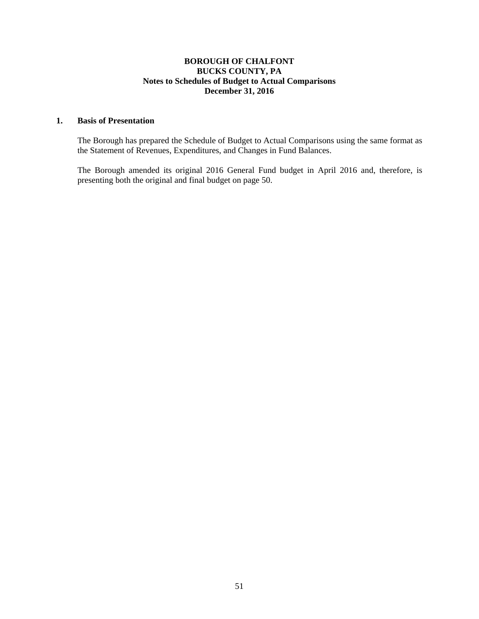# **BOROUGH OF CHALFONT BUCKS COUNTY, PA Notes to Schedules of Budget to Actual Comparisons December 31, 2016**

# **1. Basis of Presentation**

 The Borough has prepared the Schedule of Budget to Actual Comparisons using the same format as the Statement of Revenues, Expenditures, and Changes in Fund Balances.

The Borough amended its original 2016 General Fund budget in April 2016 and, therefore, is presenting both the original and final budget on page 50.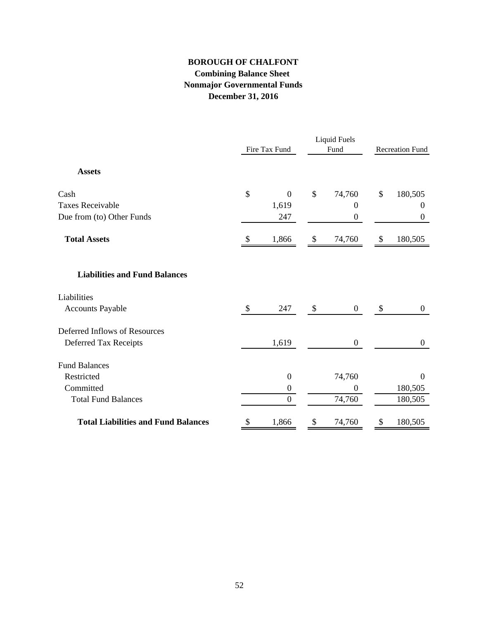# **BOROUGH OF CHALFONT Combining Balance Sheet Nonmajor Governmental Funds December 31, 2016**

|                                            | Fire Tax Fund             |                  | <b>Liquid Fuels</b><br>Fund |                  | <b>Recreation Fund</b> |                  |
|--------------------------------------------|---------------------------|------------------|-----------------------------|------------------|------------------------|------------------|
| <b>Assets</b>                              |                           |                  |                             |                  |                        |                  |
| Cash                                       | \$                        | $\overline{0}$   | \$                          | 74,760           | \$                     | 180,505          |
| <b>Taxes Receivable</b>                    |                           | 1,619            |                             | $\boldsymbol{0}$ |                        | $\boldsymbol{0}$ |
| Due from (to) Other Funds                  |                           | 247              |                             | $\boldsymbol{0}$ |                        | $\boldsymbol{0}$ |
| <b>Total Assets</b>                        | -S                        | 1,866            | \$                          | 74,760           | \$                     | 180,505          |
| <b>Liabilities and Fund Balances</b>       |                           |                  |                             |                  |                        |                  |
| Liabilities                                |                           |                  |                             |                  |                        |                  |
| <b>Accounts Payable</b>                    | $\boldsymbol{\mathsf{S}}$ | 247              | \$                          | $\overline{0}$   | \$                     | $\mathbf{0}$     |
| Deferred Inflows of Resources              |                           |                  |                             |                  |                        |                  |
| Deferred Tax Receipts                      |                           | 1,619            |                             | $\boldsymbol{0}$ |                        | $\overline{0}$   |
| <b>Fund Balances</b>                       |                           |                  |                             |                  |                        |                  |
| Restricted                                 |                           | $\boldsymbol{0}$ |                             | 74,760           |                        | $\boldsymbol{0}$ |
| Committed                                  |                           | $\boldsymbol{0}$ |                             | $\mathbf{0}$     |                        | 180,505          |
| <b>Total Fund Balances</b>                 |                           | $\overline{0}$   |                             | 74,760           |                        | 180,505          |
| <b>Total Liabilities and Fund Balances</b> | \$                        | 1,866            | \$                          | 74,760           | \$                     | 180,505          |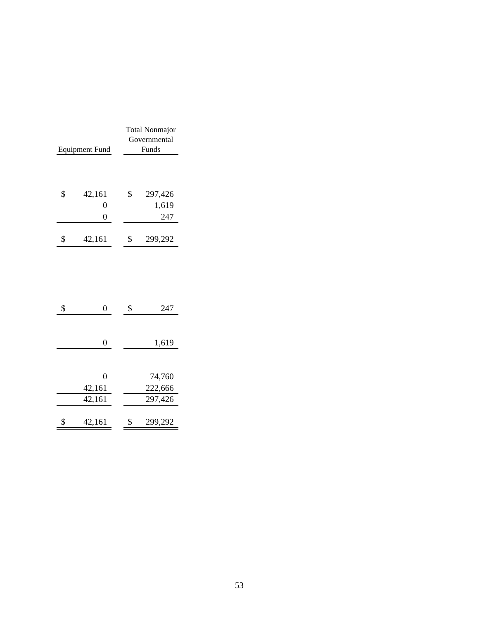| <b>Equipment Fund</b>            | <b>Total Nonmajor</b><br>Governmental<br>Funds |                  |  |  |
|----------------------------------|------------------------------------------------|------------------|--|--|
|                                  |                                                |                  |  |  |
| \$<br>42,161<br>$\boldsymbol{0}$ | \$                                             | 297,426<br>1,619 |  |  |
| $\boldsymbol{0}$                 |                                                | 247              |  |  |
| \$<br>42,161                     | \$                                             | 299,292          |  |  |
|                                  |                                                |                  |  |  |
|                                  |                                                |                  |  |  |
|                                  |                                                |                  |  |  |
| \$<br>$\boldsymbol{0}$           | \$                                             | 247              |  |  |
|                                  |                                                |                  |  |  |
| $\boldsymbol{0}$                 |                                                | 1,619            |  |  |
|                                  |                                                |                  |  |  |
| $\boldsymbol{0}$                 |                                                | 74,760           |  |  |

 222,666 42,161 42,161 297,426

 $\frac{\$}{299,292}$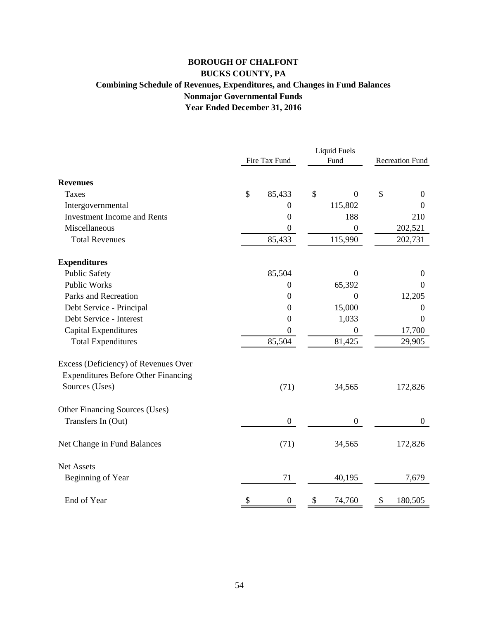# **BOROUGH OF CHALFONT BUCKS COUNTY, PA Combining Schedule of Revenues, Expenditures, and Changes in Fund Balances Nonmajor Governmental Funds Year Ended December 31, 2016**

|                                            |               |                  | <b>Liquid Fuels</b> |                  |                        |                  |
|--------------------------------------------|---------------|------------------|---------------------|------------------|------------------------|------------------|
|                                            | Fire Tax Fund |                  | Fund                |                  | <b>Recreation Fund</b> |                  |
| <b>Revenues</b>                            |               |                  |                     |                  |                        |                  |
| <b>Taxes</b>                               | \$            | 85,433           | \$                  | $\overline{0}$   | \$                     | $\overline{0}$   |
| Intergovernmental                          |               | $\mathbf{0}$     |                     | 115,802          |                        | $\overline{0}$   |
| <b>Investment Income and Rents</b>         |               | $\mathbf{0}$     |                     | 188              |                        | 210              |
| Miscellaneous                              |               | $\overline{0}$   |                     | $\boldsymbol{0}$ |                        | 202,521          |
| <b>Total Revenues</b>                      |               | 85,433           |                     | 115,990          |                        | 202,731          |
| <b>Expenditures</b>                        |               |                  |                     |                  |                        |                  |
| <b>Public Safety</b>                       |               | 85,504           |                     | $\overline{0}$   |                        | $\boldsymbol{0}$ |
| <b>Public Works</b>                        |               | $\boldsymbol{0}$ |                     | 65,392           |                        | $\boldsymbol{0}$ |
| Parks and Recreation                       |               | $\mathbf{0}$     |                     | $\overline{0}$   |                        | 12,205           |
| Debt Service - Principal                   |               | $\theta$         |                     | 15,000           |                        | $\theta$         |
| Debt Service - Interest                    |               | $\boldsymbol{0}$ |                     | 1,033            |                        | $\mathbf{0}$     |
| Capital Expenditures                       |               | $\boldsymbol{0}$ |                     | $\boldsymbol{0}$ |                        | 17,700           |
| <b>Total Expenditures</b>                  |               | 85,504           |                     | 81,425           |                        | 29,905           |
| Excess (Deficiency) of Revenues Over       |               |                  |                     |                  |                        |                  |
| <b>Expenditures Before Other Financing</b> |               |                  |                     |                  |                        |                  |
| Sources (Uses)                             |               | (71)             |                     | 34,565           |                        | 172,826          |
| Other Financing Sources (Uses)             |               |                  |                     |                  |                        |                  |
| Transfers In (Out)                         |               | $\boldsymbol{0}$ |                     | $\boldsymbol{0}$ |                        | $\boldsymbol{0}$ |
| Net Change in Fund Balances                |               | (71)             |                     | 34,565           |                        | 172,826          |
| <b>Net Assets</b>                          |               |                  |                     |                  |                        |                  |
| Beginning of Year                          |               | 71               |                     | 40,195           |                        | 7,679            |
| End of Year                                | \$            | $\boldsymbol{0}$ | \$                  | 74,760           | \$                     | 180,505          |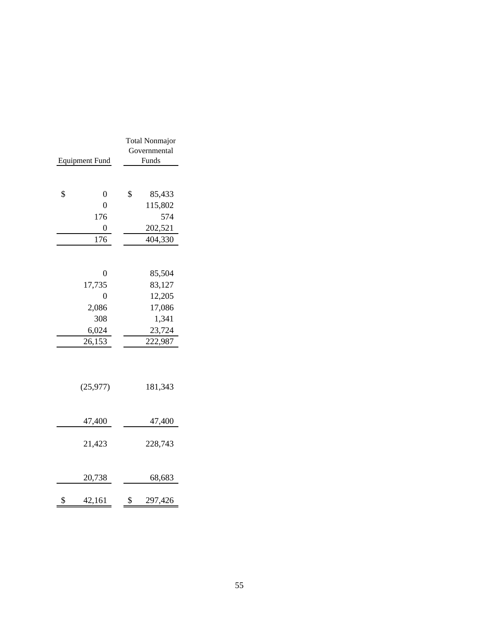|                        | <b>Total Nonmajor</b> |  |  |  |
|------------------------|-----------------------|--|--|--|
|                        | Governmental          |  |  |  |
| <b>Equipment Fund</b>  | Funds                 |  |  |  |
|                        |                       |  |  |  |
| \$<br>$\boldsymbol{0}$ | \$<br>85,433          |  |  |  |
| $\overline{0}$         | 115,802               |  |  |  |
| 176                    | 574                   |  |  |  |
| $\boldsymbol{0}$       | 202,521               |  |  |  |
| 176                    | 404,330               |  |  |  |
|                        |                       |  |  |  |
| $\overline{0}$         | 85,504                |  |  |  |
| 17,735                 | 83,127                |  |  |  |
| $\overline{0}$         | 12,205                |  |  |  |
| 2,086                  | 17,086                |  |  |  |
| 308                    | 1,341                 |  |  |  |
| 6,024                  | 23,724                |  |  |  |
| 26,153                 | 222,987               |  |  |  |
|                        |                       |  |  |  |
| (25, 977)              | 181,343               |  |  |  |
| 47,400                 | 47,400                |  |  |  |
| 21,423                 | 228,743               |  |  |  |
| 20,738                 | 68,683                |  |  |  |
| \$<br>42,161           | \$<br>297,426         |  |  |  |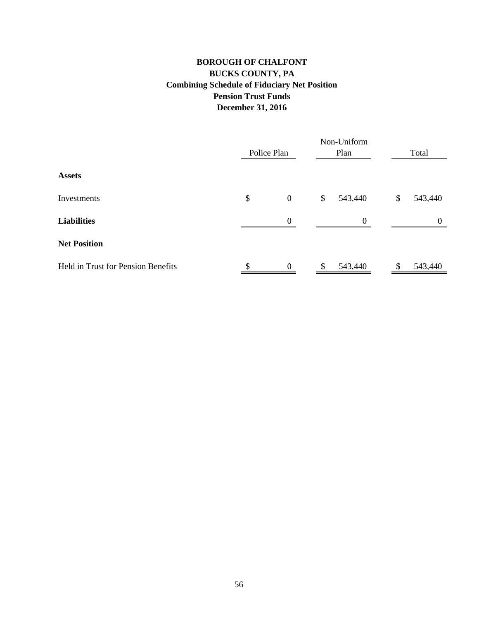# **BOROUGH OF CHALFONT BUCKS COUNTY, PA Combining Schedule of Fiduciary Net Position Pension Trust Funds December 31, 2016**

|                                    | Non-Uniform<br>Plan<br>Police Plan |                  |    | Total    |     |          |
|------------------------------------|------------------------------------|------------------|----|----------|-----|----------|
| <b>Assets</b>                      |                                    |                  |    |          |     |          |
| Investments                        | \$                                 | $\boldsymbol{0}$ | \$ | 543,440  | \$  | 543,440  |
| <b>Liabilities</b>                 |                                    | $\overline{0}$   |    | $\Omega$ |     | $\Omega$ |
| <b>Net Position</b>                |                                    |                  |    |          |     |          |
| Held in Trust for Pension Benefits | \$                                 | $\Omega$         | \$ | 543,440  | \$. | 543,440  |